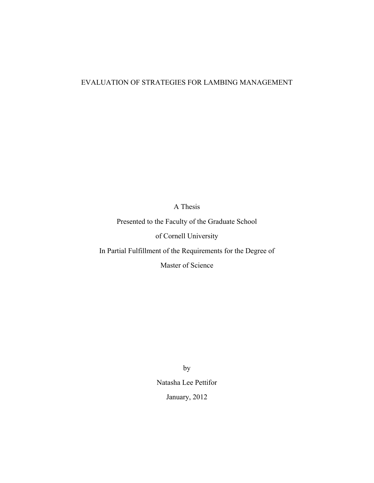## EVALUATION OF STRATEGIES FOR LAMBING MANAGEMENT

A Thesis

Presented to the Faculty of the Graduate School

of Cornell University

In Partial Fulfillment of the Requirements for the Degree of

Master of Science

by Natasha Lee Pettifor January, 2012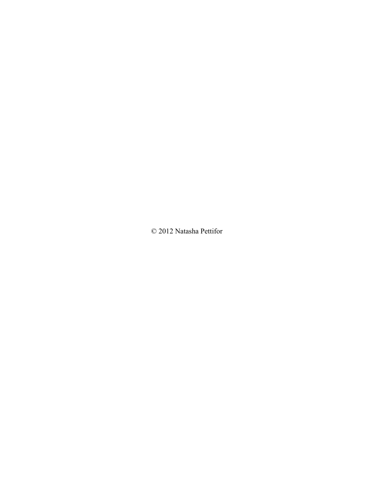© 2012 Natasha Pettifor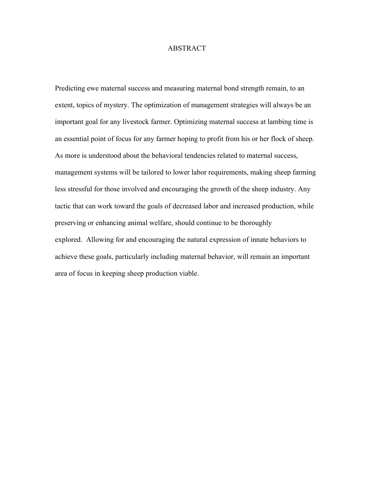#### ABSTRACT

Predicting ewe maternal success and measuring maternal bond strength remain, to an extent, topics of mystery. The optimization of management strategies will always be an important goal for any livestock farmer. Optimizing maternal success at lambing time is an essential point of focus for any farmer hoping to profit from his or her flock of sheep. As more is understood about the behavioral tendencies related to maternal success, management systems will be tailored to lower labor requirements, making sheep farming less stressful for those involved and encouraging the growth of the sheep industry. Any tactic that can work toward the goals of decreased labor and increased production, while preserving or enhancing animal welfare, should continue to be thoroughly explored. Allowing for and encouraging the natural expression of innate behaviors to achieve these goals, particularly including maternal behavior, will remain an important area of focus in keeping sheep production viable.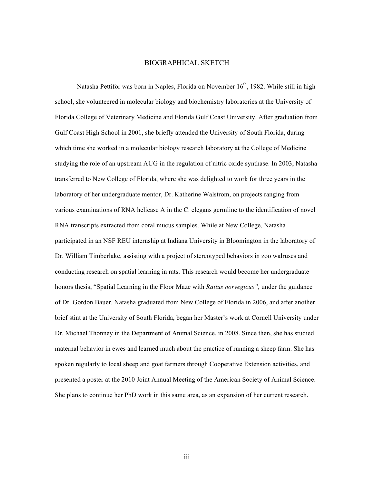#### BIOGRAPHICAL SKETCH

Natasha Pettifor was born in Naples, Florida on November 16<sup>th</sup>, 1982. While still in high school, she volunteered in molecular biology and biochemistry laboratories at the University of Florida College of Veterinary Medicine and Florida Gulf Coast University. After graduation from Gulf Coast High School in 2001, she briefly attended the University of South Florida, during which time she worked in a molecular biology research laboratory at the College of Medicine studying the role of an upstream AUG in the regulation of nitric oxide synthase. In 2003, Natasha transferred to New College of Florida, where she was delighted to work for three years in the laboratory of her undergraduate mentor, Dr. Katherine Walstrom, on projects ranging from various examinations of RNA helicase A in the C. elegans germline to the identification of novel RNA transcripts extracted from coral mucus samples. While at New College, Natasha participated in an NSF REU internship at Indiana University in Bloomington in the laboratory of Dr. William Timberlake, assisting with a project of stereotyped behaviors in zoo walruses and conducting research on spatial learning in rats. This research would become her undergraduate honors thesis, "Spatial Learning in the Floor Maze with *Rattus norvegicus",* under the guidance of Dr. Gordon Bauer. Natasha graduated from New College of Florida in 2006, and after another brief stint at the University of South Florida, began her Master's work at Cornell University under Dr. Michael Thonney in the Department of Animal Science, in 2008. Since then, she has studied maternal behavior in ewes and learned much about the practice of running a sheep farm. She has spoken regularly to local sheep and goat farmers through Cooperative Extension activities, and presented a poster at the 2010 Joint Annual Meeting of the American Society of Animal Science. She plans to continue her PhD work in this same area, as an expansion of her current research.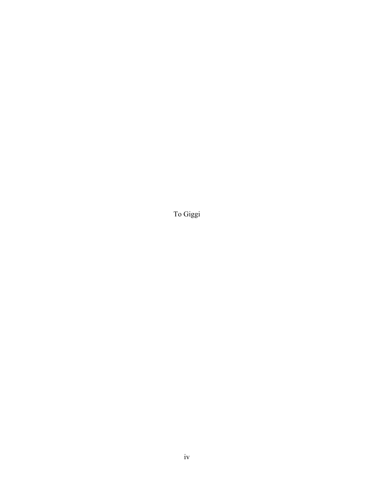To Giggi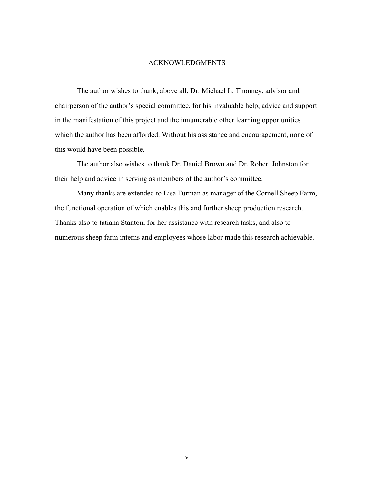#### ACKNOWLEDGMENTS

The author wishes to thank, above all, Dr. Michael L. Thonney, advisor and chairperson of the author's special committee, for his invaluable help, advice and support in the manifestation of this project and the innumerable other learning opportunities which the author has been afforded. Without his assistance and encouragement, none of this would have been possible.

The author also wishes to thank Dr. Daniel Brown and Dr. Robert Johnston for their help and advice in serving as members of the author's committee.

Many thanks are extended to Lisa Furman as manager of the Cornell Sheep Farm, the functional operation of which enables this and further sheep production research. Thanks also to tatiana Stanton, for her assistance with research tasks, and also to numerous sheep farm interns and employees whose labor made this research achievable.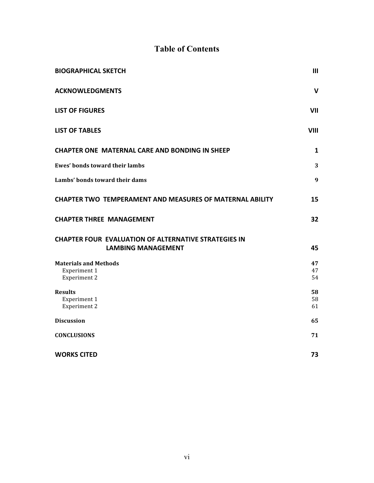# **Table of Contents**

| <b>BIOGRAPHICAL SKETCH</b>                                      | III         |
|-----------------------------------------------------------------|-------------|
| <b>ACKNOWLEDGMENTS</b>                                          | V           |
| <b>LIST OF FIGURES</b>                                          | VII         |
| <b>LIST OF TABLES</b>                                           | <b>VIII</b> |
| <b>CHAPTER ONE MATERNAL CARE AND BONDING IN SHEEP</b>           | 1           |
| <b>Ewes' bonds toward their lambs</b>                           | 3           |
| Lambs' bonds toward their dams                                  | 9           |
| <b>CHAPTER TWO TEMPERAMENT AND MEASURES OF MATERNAL ABILITY</b> | 15          |
| <b>CHAPTER THREE MANAGEMENT</b>                                 | 32          |
| <b>CHAPTER FOUR EVALUATION OF ALTERNATIVE STRATEGIES IN</b>     |             |
| <b>LAMBING MANAGEMENT</b>                                       | 45          |
| <b>Materials and Methods</b>                                    | 47          |
| Experiment 1<br><b>Experiment 2</b>                             | 47<br>54    |
| <b>Results</b>                                                  | 58          |
| Experiment 1<br><b>Experiment 2</b>                             | 58<br>61    |
|                                                                 |             |
| <b>Discussion</b>                                               | 65          |
| <b>CONCLUSIONS</b>                                              | 71          |
| <b>WORKS CITED</b>                                              | 73          |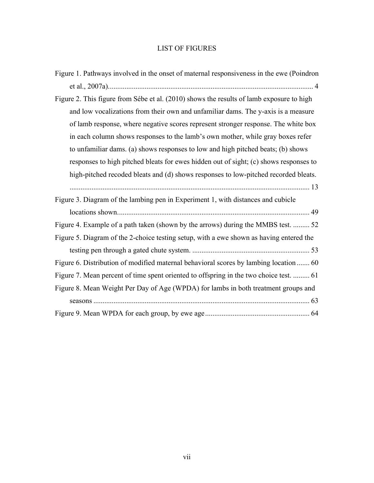# LIST OF FIGURES

| Figure 1. Pathways involved in the onset of maternal responsiveness in the ewe (Poindron |
|------------------------------------------------------------------------------------------|
|                                                                                          |
| Figure 2. This figure from Sébe et al. (2010) shows the results of lamb exposure to high |
| and low vocalizations from their own and unfamiliar dams. The y-axis is a measure        |
| of lamb response, where negative scores represent stronger response. The white box       |
| in each column shows responses to the lamb's own mother, while gray boxes refer          |
| to unfamiliar dams. (a) shows responses to low and high pitched beats; (b) shows         |
| responses to high pitched bleats for ewes hidden out of sight; (c) shows responses to    |
| high-pitched recoded bleats and (d) shows responses to low-pitched recorded bleats.      |
|                                                                                          |
| Figure 3. Diagram of the lambing pen in Experiment 1, with distances and cubicle         |
|                                                                                          |
| Figure 4. Example of a path taken (shown by the arrows) during the MMBS test.  52        |
| Figure 5. Diagram of the 2-choice testing setup, with a ewe shown as having entered the  |
|                                                                                          |
| Figure 6. Distribution of modified maternal behavioral scores by lambing location  60    |
| Figure 7. Mean percent of time spent oriented to offspring in the two choice test.  61   |
| Figure 8. Mean Weight Per Day of Age (WPDA) for lambs in both treatment groups and       |
|                                                                                          |
|                                                                                          |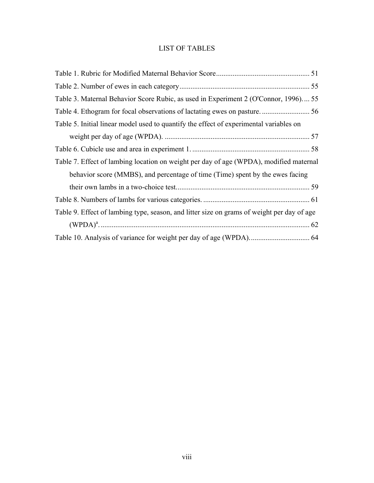# LIST OF TABLES

| Table 3. Maternal Behavior Score Rubic, as used in Experiment 2 (O'Connor, 1996) 55        |  |
|--------------------------------------------------------------------------------------------|--|
|                                                                                            |  |
| Table 5. Initial linear model used to quantify the effect of experimental variables on     |  |
|                                                                                            |  |
|                                                                                            |  |
| Table 7. Effect of lambing location on weight per day of age (WPDA), modified maternal     |  |
| behavior score (MMBS), and percentage of time (Time) spent by the ewes facing              |  |
|                                                                                            |  |
|                                                                                            |  |
| Table 9. Effect of lambing type, season, and litter size on grams of weight per day of age |  |
|                                                                                            |  |
|                                                                                            |  |
|                                                                                            |  |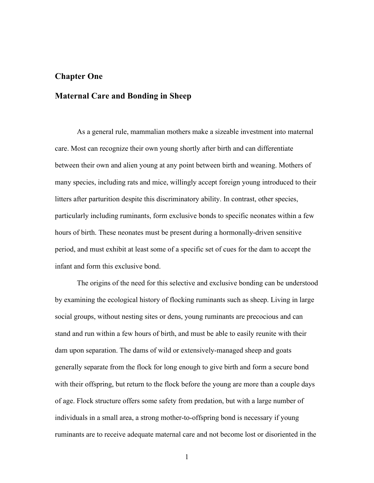#### **Chapter One**

## **Maternal Care and Bonding in Sheep**

As a general rule, mammalian mothers make a sizeable investment into maternal care. Most can recognize their own young shortly after birth and can differentiate between their own and alien young at any point between birth and weaning. Mothers of many species, including rats and mice, willingly accept foreign young introduced to their litters after parturition despite this discriminatory ability. In contrast, other species, particularly including ruminants, form exclusive bonds to specific neonates within a few hours of birth. These neonates must be present during a hormonally-driven sensitive period, and must exhibit at least some of a specific set of cues for the dam to accept the infant and form this exclusive bond.

The origins of the need for this selective and exclusive bonding can be understood by examining the ecological history of flocking ruminants such as sheep. Living in large social groups, without nesting sites or dens, young ruminants are precocious and can stand and run within a few hours of birth, and must be able to easily reunite with their dam upon separation. The dams of wild or extensively-managed sheep and goats generally separate from the flock for long enough to give birth and form a secure bond with their offspring, but return to the flock before the young are more than a couple days of age. Flock structure offers some safety from predation, but with a large number of individuals in a small area, a strong mother-to-offspring bond is necessary if young ruminants are to receive adequate maternal care and not become lost or disoriented in the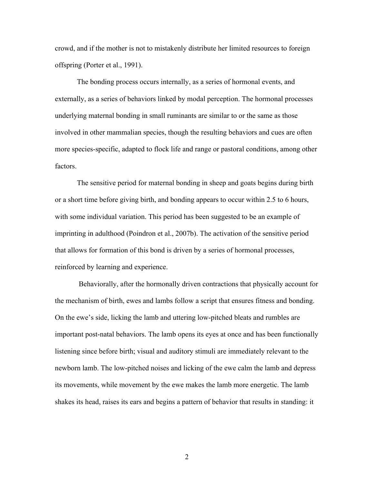crowd, and if the mother is not to mistakenly distribute her limited resources to foreign offspring (Porter et al., 1991).

The bonding process occurs internally, as a series of hormonal events, and externally, as a series of behaviors linked by modal perception. The hormonal processes underlying maternal bonding in small ruminants are similar to or the same as those involved in other mammalian species, though the resulting behaviors and cues are often more species-specific, adapted to flock life and range or pastoral conditions, among other factors.

The sensitive period for maternal bonding in sheep and goats begins during birth or a short time before giving birth, and bonding appears to occur within 2.5 to 6 hours, with some individual variation. This period has been suggested to be an example of imprinting in adulthood (Poindron et al., 2007b). The activation of the sensitive period that allows for formation of this bond is driven by a series of hormonal processes, reinforced by learning and experience.

Behaviorally, after the hormonally driven contractions that physically account for the mechanism of birth, ewes and lambs follow a script that ensures fitness and bonding. On the ewe's side, licking the lamb and uttering low-pitched bleats and rumbles are important post-natal behaviors. The lamb opens its eyes at once and has been functionally listening since before birth; visual and auditory stimuli are immediately relevant to the newborn lamb. The low-pitched noises and licking of the ewe calm the lamb and depress its movements, while movement by the ewe makes the lamb more energetic. The lamb shakes its head, raises its ears and begins a pattern of behavior that results in standing: it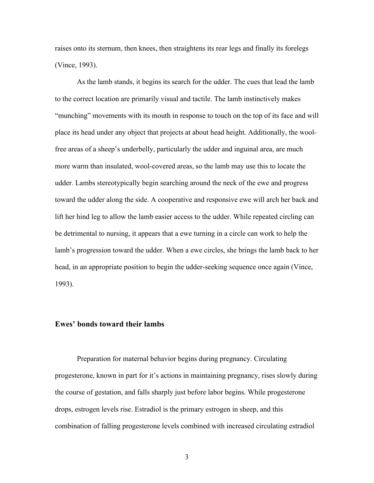raises onto its sternum, then knees, then straightens its rear legs and finally its forelegs (Vince, 1993).

As the lamb stands, it begins its search for the udder. The cues that lead the lamb to the correct location are primarily visual and tactile. The lamb instinctively makes "munching" movements with its mouth in response to touch on the top of its face and will place its head under any object that projects at about head height. Additionally, the woolfree areas of a sheep's underbelly, particularly the udder and inguinal area, are much more warm than insulated, wool-covered areas, so the lamb may use this to locate the udder. Lambs stereotypically begin searching around the neck of the ewe and progress toward the udder along the side. A cooperative and responsive ewe will arch her back and lift her hind leg to allow the lamb easier access to the udder. While repeated circling can be detrimental to nursing, it appears that a ewe turning in a circle can work to help the lamb's progression toward the udder. When a ewe circles, she brings the lamb back to her head, in an appropriate position to begin the udder-seeking sequence once again (Vince, 1993).

#### **Ewes' bonds toward their lambs**

Preparation for maternal behavior begins during pregnancy. Circulating progesterone, known in part for it's actions in maintaining pregnancy, rises slowly during the course of gestation, and falls sharply just before labor begins. While progesterone drops, estrogen levels rise. Estradiol is the primary estrogen in sheep, and this combination of falling progesterone levels combined with increased circulating estradiol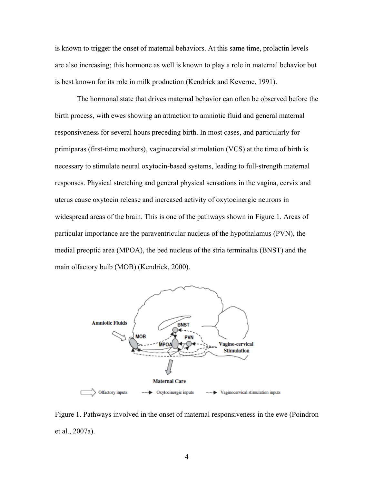is known to trigger the onset of maternal behaviors. At this same time, prolactin levels are also increasing; this hormone as well is known to play a role in maternal behavior but is best known for its role in milk production (Kendrick and Keverne, 1991).

The hormonal state that drives maternal behavior can often be observed before the birth process, with ewes showing an attraction to amniotic fluid and general maternal responsiveness for several hours preceding birth. In most cases, and particularly for primiparas (first-time mothers), vaginocervial stimulation (VCS) at the time of birth is necessary to stimulate neural oxytocin-based systems, leading to full-strength maternal responses. Physical stretching and general physical sensations in the vagina, cervix and uterus cause oxytocin release and increased activity of oxytocinergic neurons in widespread areas of the brain. This is one of the pathways shown in Figure 1. Areas of particular importance are the paraventricular nucleus of the hypothalamus (PVN), the medial preoptic area (MPOA), the bed nucleus of the stria terminalus (BNST) and the main olfactory bulb (MOB) (Kendrick, 2000).



Figure 1. Pathways involved in the onset of maternal responsiveness in the ewe (Poindron et al., 2007a).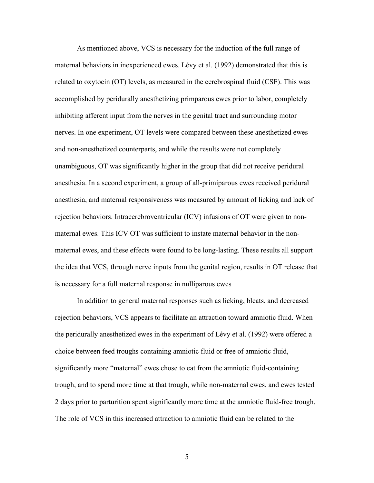As mentioned above, VCS is necessary for the induction of the full range of maternal behaviors in inexperienced ewes. Lévy et al. (1992) demonstrated that this is related to oxytocin (OT) levels, as measured in the cerebrospinal fluid (CSF). This was accomplished by peridurally anesthetizing primparous ewes prior to labor, completely inhibiting afferent input from the nerves in the genital tract and surrounding motor nerves. In one experiment, OT levels were compared between these anesthetized ewes and non-anesthetized counterparts, and while the results were not completely unambiguous, OT was significantly higher in the group that did not receive peridural anesthesia. In a second experiment, a group of all-primiparous ewes received peridural anesthesia, and maternal responsiveness was measured by amount of licking and lack of rejection behaviors. Intracerebroventricular (ICV) infusions of OT were given to nonmaternal ewes. This ICV OT was sufficient to instate maternal behavior in the nonmaternal ewes, and these effects were found to be long-lasting. These results all support the idea that VCS, through nerve inputs from the genital region, results in OT release that is necessary for a full maternal response in nulliparous ewes

In addition to general maternal responses such as licking, bleats, and decreased rejection behaviors, VCS appears to facilitate an attraction toward amniotic fluid. When the peridurally anesthetized ewes in the experiment of Lévy et al. (1992) were offered a choice between feed troughs containing amniotic fluid or free of amniotic fluid, significantly more "maternal" ewes chose to eat from the amniotic fluid-containing trough, and to spend more time at that trough, while non-maternal ewes, and ewes tested 2 days prior to parturition spent significantly more time at the amniotic fluid-free trough. The role of VCS in this increased attraction to amniotic fluid can be related to the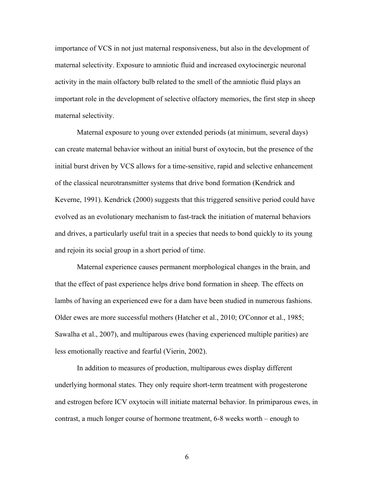importance of VCS in not just maternal responsiveness, but also in the development of maternal selectivity. Exposure to amniotic fluid and increased oxytocinergic neuronal activity in the main olfactory bulb related to the smell of the amniotic fluid plays an important role in the development of selective olfactory memories, the first step in sheep maternal selectivity.

Maternal exposure to young over extended periods (at minimum, several days) can create maternal behavior without an initial burst of oxytocin, but the presence of the initial burst driven by VCS allows for a time-sensitive, rapid and selective enhancement of the classical neurotransmitter systems that drive bond formation (Kendrick and Keverne, 1991). Kendrick (2000) suggests that this triggered sensitive period could have evolved as an evolutionary mechanism to fast-track the initiation of maternal behaviors and drives, a particularly useful trait in a species that needs to bond quickly to its young and rejoin its social group in a short period of time.

Maternal experience causes permanent morphological changes in the brain, and that the effect of past experience helps drive bond formation in sheep. The effects on lambs of having an experienced ewe for a dam have been studied in numerous fashions. Older ewes are more successful mothers (Hatcher et al., 2010; O'Connor et al., 1985; Sawalha et al., 2007), and multiparous ewes (having experienced multiple parities) are less emotionally reactive and fearful (Vierin, 2002).

In addition to measures of production, multiparous ewes display different underlying hormonal states. They only require short-term treatment with progesterone and estrogen before ICV oxytocin will initiate maternal behavior. In primiparous ewes, in contrast, a much longer course of hormone treatment, 6-8 weeks worth – enough to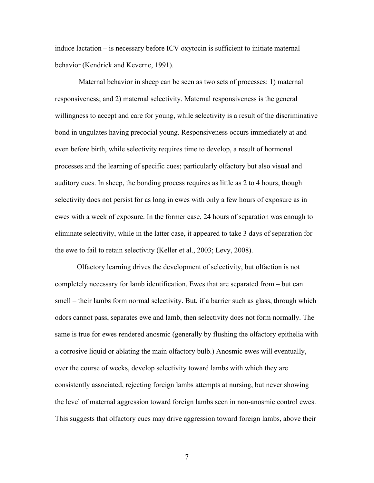induce lactation – is necessary before ICV oxytocin is sufficient to initiate maternal behavior (Kendrick and Keverne, 1991).

Maternal behavior in sheep can be seen as two sets of processes: 1) maternal responsiveness; and 2) maternal selectivity. Maternal responsiveness is the general willingness to accept and care for young, while selectivity is a result of the discriminative bond in ungulates having precocial young. Responsiveness occurs immediately at and even before birth, while selectivity requires time to develop, a result of hormonal processes and the learning of specific cues; particularly olfactory but also visual and auditory cues. In sheep, the bonding process requires as little as 2 to 4 hours, though selectivity does not persist for as long in ewes with only a few hours of exposure as in ewes with a week of exposure. In the former case, 24 hours of separation was enough to eliminate selectivity, while in the latter case, it appeared to take 3 days of separation for the ewe to fail to retain selectivity (Keller et al., 2003; Levy, 2008).

Olfactory learning drives the development of selectivity, but olfaction is not completely necessary for lamb identification. Ewes that are separated from – but can smell – their lambs form normal selectivity. But, if a barrier such as glass, through which odors cannot pass, separates ewe and lamb, then selectivity does not form normally. The same is true for ewes rendered anosmic (generally by flushing the olfactory epithelia with a corrosive liquid or ablating the main olfactory bulb.) Anosmic ewes will eventually, over the course of weeks, develop selectivity toward lambs with which they are consistently associated, rejecting foreign lambs attempts at nursing, but never showing the level of maternal aggression toward foreign lambs seen in non-anosmic control ewes. This suggests that olfactory cues may drive aggression toward foreign lambs, above their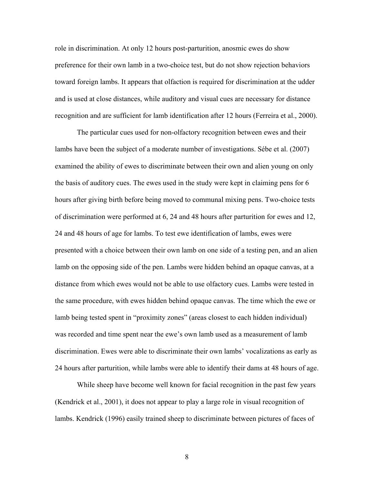role in discrimination. At only 12 hours post-parturition, anosmic ewes do show preference for their own lamb in a two-choice test, but do not show rejection behaviors toward foreign lambs. It appears that olfaction is required for discrimination at the udder and is used at close distances, while auditory and visual cues are necessary for distance recognition and are sufficient for lamb identification after 12 hours (Ferreira et al., 2000).

The particular cues used for non-olfactory recognition between ewes and their lambs have been the subject of a moderate number of investigations. Sébe et al. (2007) examined the ability of ewes to discriminate between their own and alien young on only the basis of auditory cues. The ewes used in the study were kept in claiming pens for 6 hours after giving birth before being moved to communal mixing pens. Two-choice tests of discrimination were performed at 6, 24 and 48 hours after parturition for ewes and 12, 24 and 48 hours of age for lambs. To test ewe identification of lambs, ewes were presented with a choice between their own lamb on one side of a testing pen, and an alien lamb on the opposing side of the pen. Lambs were hidden behind an opaque canvas, at a distance from which ewes would not be able to use olfactory cues. Lambs were tested in the same procedure, with ewes hidden behind opaque canvas. The time which the ewe or lamb being tested spent in "proximity zones" (areas closest to each hidden individual) was recorded and time spent near the ewe's own lamb used as a measurement of lamb discrimination. Ewes were able to discriminate their own lambs' vocalizations as early as 24 hours after parturition, while lambs were able to identify their dams at 48 hours of age.

While sheep have become well known for facial recognition in the past few years (Kendrick et al., 2001), it does not appear to play a large role in visual recognition of lambs. Kendrick (1996) easily trained sheep to discriminate between pictures of faces of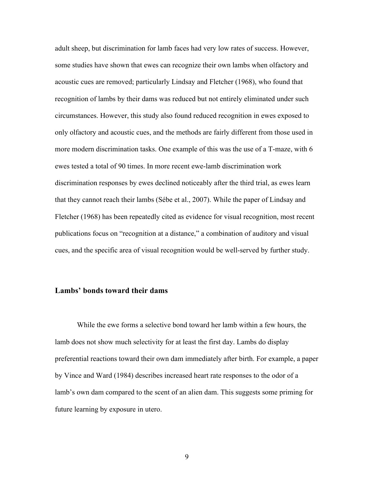adult sheep, but discrimination for lamb faces had very low rates of success. However, some studies have shown that ewes can recognize their own lambs when olfactory and acoustic cues are removed; particularly Lindsay and Fletcher (1968), who found that recognition of lambs by their dams was reduced but not entirely eliminated under such circumstances. However, this study also found reduced recognition in ewes exposed to only olfactory and acoustic cues, and the methods are fairly different from those used in more modern discrimination tasks. One example of this was the use of a T-maze, with 6 ewes tested a total of 90 times. In more recent ewe-lamb discrimination work discrimination responses by ewes declined noticeably after the third trial, as ewes learn that they cannot reach their lambs (Sébe et al., 2007). While the paper of Lindsay and Fletcher (1968) has been repeatedly cited as evidence for visual recognition, most recent publications focus on "recognition at a distance," a combination of auditory and visual cues, and the specific area of visual recognition would be well-served by further study.

## **Lambs' bonds toward their dams**

While the ewe forms a selective bond toward her lamb within a few hours, the lamb does not show much selectivity for at least the first day. Lambs do display preferential reactions toward their own dam immediately after birth. For example, a paper by Vince and Ward (1984) describes increased heart rate responses to the odor of a lamb's own dam compared to the scent of an alien dam. This suggests some priming for future learning by exposure in utero.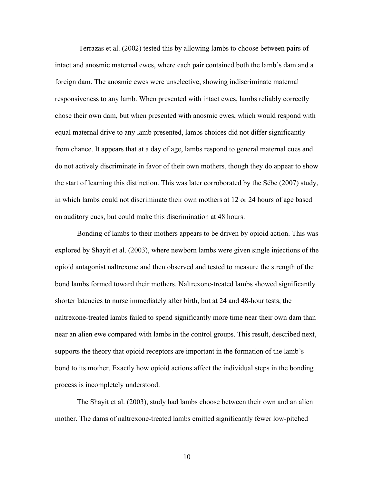Terrazas et al. (2002) tested this by allowing lambs to choose between pairs of intact and anosmic maternal ewes, where each pair contained both the lamb's dam and a foreign dam. The anosmic ewes were unselective, showing indiscriminate maternal responsiveness to any lamb. When presented with intact ewes, lambs reliably correctly chose their own dam, but when presented with anosmic ewes, which would respond with equal maternal drive to any lamb presented, lambs choices did not differ significantly from chance. It appears that at a day of age, lambs respond to general maternal cues and do not actively discriminate in favor of their own mothers, though they do appear to show the start of learning this distinction. This was later corroborated by the Sébe (2007) study, in which lambs could not discriminate their own mothers at 12 or 24 hours of age based on auditory cues, but could make this discrimination at 48 hours.

Bonding of lambs to their mothers appears to be driven by opioid action. This was explored by Shayit et al. (2003), where newborn lambs were given single injections of the opioid antagonist naltrexone and then observed and tested to measure the strength of the bond lambs formed toward their mothers. Naltrexone-treated lambs showed significantly shorter latencies to nurse immediately after birth, but at 24 and 48-hour tests, the naltrexone-treated lambs failed to spend significantly more time near their own dam than near an alien ewe compared with lambs in the control groups. This result, described next, supports the theory that opioid receptors are important in the formation of the lamb's bond to its mother. Exactly how opioid actions affect the individual steps in the bonding process is incompletely understood.

The Shayit et al. (2003), study had lambs choose between their own and an alien mother. The dams of naltrexone-treated lambs emitted significantly fewer low-pitched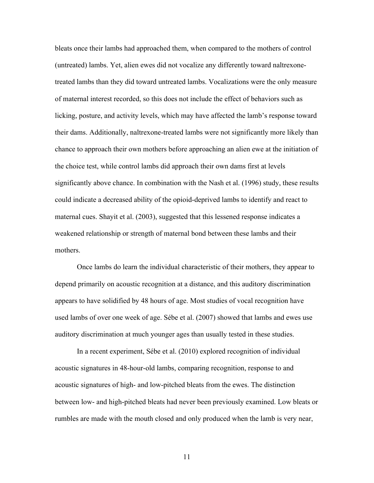bleats once their lambs had approached them, when compared to the mothers of control (untreated) lambs. Yet, alien ewes did not vocalize any differently toward naltrexonetreated lambs than they did toward untreated lambs. Vocalizations were the only measure of maternal interest recorded, so this does not include the effect of behaviors such as licking, posture, and activity levels, which may have affected the lamb's response toward their dams. Additionally, naltrexone-treated lambs were not significantly more likely than chance to approach their own mothers before approaching an alien ewe at the initiation of the choice test, while control lambs did approach their own dams first at levels significantly above chance. In combination with the Nash et al. (1996) study, these results could indicate a decreased ability of the opioid-deprived lambs to identify and react to maternal cues. Shayit et al. (2003), suggested that this lessened response indicates a weakened relationship or strength of maternal bond between these lambs and their mothers.

Once lambs do learn the individual characteristic of their mothers, they appear to depend primarily on acoustic recognition at a distance, and this auditory discrimination appears to have solidified by 48 hours of age. Most studies of vocal recognition have used lambs of over one week of age. Sébe et al. (2007) showed that lambs and ewes use auditory discrimination at much younger ages than usually tested in these studies.

In a recent experiment, Sébe et al. (2010) explored recognition of individual acoustic signatures in 48-hour-old lambs, comparing recognition, response to and acoustic signatures of high- and low-pitched bleats from the ewes. The distinction between low- and high-pitched bleats had never been previously examined. Low bleats or rumbles are made with the mouth closed and only produced when the lamb is very near,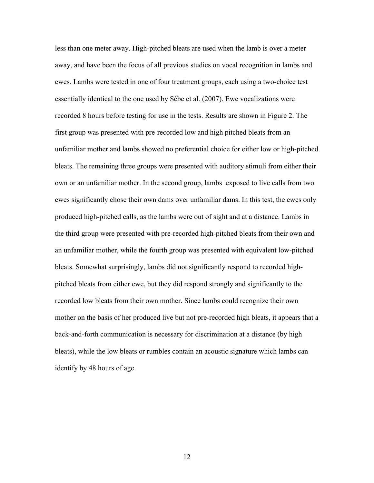less than one meter away. High-pitched bleats are used when the lamb is over a meter away, and have been the focus of all previous studies on vocal recognition in lambs and ewes. Lambs were tested in one of four treatment groups, each using a two-choice test essentially identical to the one used by Sébe et al. (2007). Ewe vocalizations were recorded 8 hours before testing for use in the tests. Results are shown in Figure 2. The first group was presented with pre-recorded low and high pitched bleats from an unfamiliar mother and lambs showed no preferential choice for either low or high-pitched bleats. The remaining three groups were presented with auditory stimuli from either their own or an unfamiliar mother. In the second group, lambs exposed to live calls from two ewes significantly chose their own dams over unfamiliar dams. In this test, the ewes only produced high-pitched calls, as the lambs were out of sight and at a distance. Lambs in the third group were presented with pre-recorded high-pitched bleats from their own and an unfamiliar mother, while the fourth group was presented with equivalent low-pitched bleats. Somewhat surprisingly, lambs did not significantly respond to recorded highpitched bleats from either ewe, but they did respond strongly and significantly to the recorded low bleats from their own mother. Since lambs could recognize their own mother on the basis of her produced live but not pre-recorded high bleats, it appears that a back-and-forth communication is necessary for discrimination at a distance (by high bleats), while the low bleats or rumbles contain an acoustic signature which lambs can identify by 48 hours of age.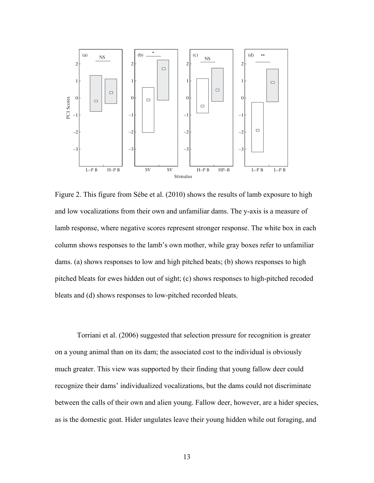

Figure 2. This figure from Sébe et al. (2010) shows the results of lamb exposure to high and low vocalizations from their own and unfamiliar dams. The y-axis is a measure of lamb response, where negative scores represent stronger response. The white box in each column shows responses to the lamb's own mother, while gray boxes refer to unfamiliar dams. (a) shows responses to low and high pitched beats; (b) shows responses to high pitched bleats for ewes hidden out of sight; (c) shows responses to high-pitched recoded bleats and (d) shows responses to low-pitched recorded bleats.

Torriani et al. (2006) suggested that selection pressure for recognition is greater on a young animal than on its dam; the associated cost to the individual is obviously much greater. This view was supported by their finding that young fallow deer could recognize their dams' individualized vocalizations, but the dams could not discriminate between the calls of their own and alien young. Fallow deer, however, are a hider species, as is the domestic goat. Hider ungulates leave their young hidden while out foraging, and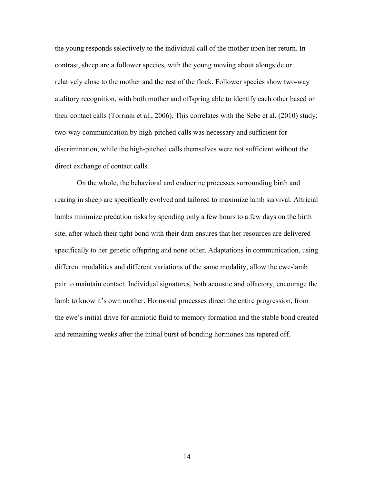the young responds selectively to the individual call of the mother upon her return. In contrast, sheep are a follower species, with the young moving about alongside or relatively close to the mother and the rest of the flock. Follower species show two-way auditory recognition, with both mother and offspring able to identify each other based on their contact calls (Torriani et al., 2006). This correlates with the Sébe et al. (2010) study; two-way communication by high-pitched calls was necessary and sufficient for discrimination, while the high-pitched calls themselves were not sufficient without the direct exchange of contact calls.

On the whole, the behavioral and endocrine processes surrounding birth and rearing in sheep are specifically evolved and tailored to maximize lamb survival. Altricial lambs minimize predation risks by spending only a few hours to a few days on the birth site, after which their tight bond with their dam ensures that her resources are delivered specifically to her genetic offspring and none other. Adaptations in communication, using different modalities and different variations of the same modality, allow the ewe-lamb pair to maintain contact. Individual signatures, both acoustic and olfactory, encourage the lamb to know it's own mother. Hormonal processes direct the entire progression, from the ewe's initial drive for amniotic fluid to memory formation and the stable bond created and remaining weeks after the initial burst of bonding hormones has tapered off.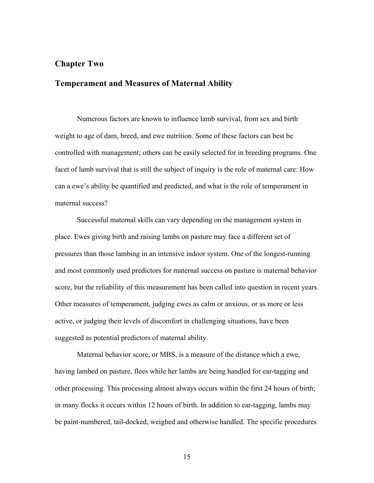#### **Chapter Two**

## **Temperament and Measures of Maternal Ability**

Numerous factors are known to influence lamb survival, from sex and birth weight to age of dam, breed, and ewe nutrition. Some of these factors can best be controlled with management; others can be easily selected for in breeding programs. One facet of lamb survival that is still the subject of inquiry is the role of maternal care: How can a ewe's ability be quantified and predicted, and what is the role of temperament in maternal success?

Successful maternal skills can vary depending on the management system in place. Ewes giving birth and raising lambs on pasture may face a different set of pressures than those lambing in an intensive indoor system. One of the longest-running and most commonly used predictors for maternal success on pasture is maternal behavior score, but the reliability of this measurement has been called into question in recent years. Other measures of temperament, judging ewes as calm or anxious, or as more or less active, or judging their levels of discomfort in challenging situations, have been suggested as potential predictors of maternal ability.

Maternal behavior score, or MBS, is a measure of the distance which a ewe, having lambed on pasture, flees while her lambs are being handled for ear-tagging and other processing. This processing almost always occurs within the first 24 hours of birth; in many flocks it occurs within 12 hours of birth. In addition to ear-tagging, lambs may be paint-numbered, tail-docked, weighed and otherwise handled. The specific procedures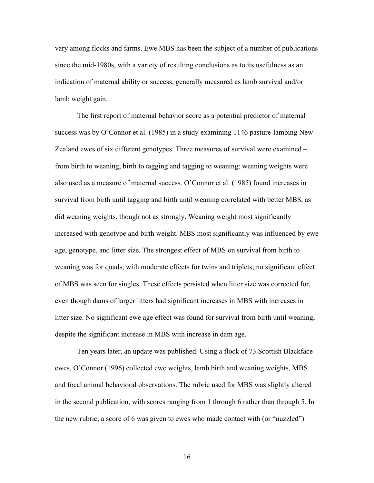vary among flocks and farms. Ewe MBS has been the subject of a number of publications since the mid-1980s, with a variety of resulting conclusions as to its usefulness as an indication of maternal ability or success, generally measured as lamb survival and/or lamb weight gain.

The first report of maternal behavior score as a potential predictor of maternal success was by O'Connor et al. (1985) in a study examining 1146 pasture-lambing New Zealand ewes of six different genotypes. Three measures of survival were examined – from birth to weaning, birth to tagging and tagging to weaning; weaning weights were also used as a measure of maternal success. O'Connor et al. (1985) found increases in survival from birth until tagging and birth until weaning correlated with better MBS, as did weaning weights, though not as strongly. Weaning weight most significantly increased with genotype and birth weight. MBS most significantly was influenced by ewe age, genotype, and litter size. The strongest effect of MBS on survival from birth to weaning was for quads, with moderate effects for twins and triplets; no significant effect of MBS was seen for singles. These effects persisted when litter size was corrected for, even though dams of larger litters had significant increases in MBS with increases in litter size. No significant ewe age effect was found for survival from birth until weaning, despite the significant increase in MBS with increase in dam age.

Ten years later, an update was published. Using a flock of 73 Scottish Blackface ewes, O'Connor (1996) collected ewe weights, lamb birth and weaning weights, MBS and focal animal behavioral observations. The rubric used for MBS was slightly altered in the second publication, with scores ranging from 1 through 6 rather than through 5. In the new rubric, a score of 6 was given to ewes who made contact with (or "nuzzled")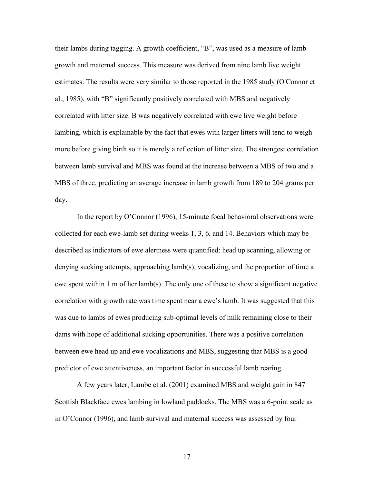their lambs during tagging. A growth coefficient, "B", was used as a measure of lamb growth and maternal success. This measure was derived from nine lamb live weight estimates. The results were very similar to those reported in the 1985 study (O'Connor et al., 1985), with "B" significantly positively correlated with MBS and negatively correlated with litter size. B was negatively correlated with ewe live weight before lambing, which is explainable by the fact that ewes with larger litters will tend to weigh more before giving birth so it is merely a reflection of litter size. The strongest correlation between lamb survival and MBS was found at the increase between a MBS of two and a MBS of three, predicting an average increase in lamb growth from 189 to 204 grams per day.

In the report by O'Connor (1996), 15-minute focal behavioral observations were collected for each ewe-lamb set during weeks 1, 3, 6, and 14. Behaviors which may be described as indicators of ewe alertness were quantified: head up scanning, allowing or denying sucking attempts, approaching lamb(s), vocalizing, and the proportion of time a ewe spent within 1 m of her lamb(s). The only one of these to show a significant negative correlation with growth rate was time spent near a ewe's lamb. It was suggested that this was due to lambs of ewes producing sub-optimal levels of milk remaining close to their dams with hope of additional sucking opportunities. There was a positive correlation between ewe head up and ewe vocalizations and MBS, suggesting that MBS is a good predictor of ewe attentiveness, an important factor in successful lamb rearing.

A few years later, Lambe et al. (2001) examined MBS and weight gain in 847 Scottish Blackface ewes lambing in lowland paddocks. The MBS was a 6-point scale as in O'Connor (1996), and lamb survival and maternal success was assessed by four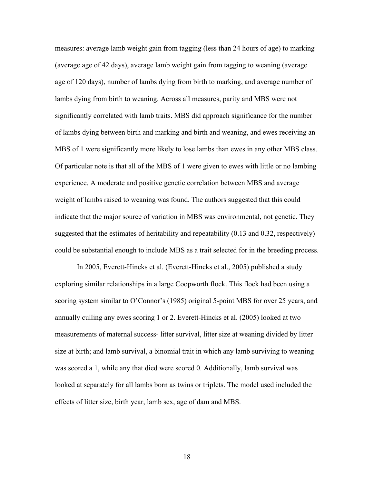measures: average lamb weight gain from tagging (less than 24 hours of age) to marking (average age of 42 days), average lamb weight gain from tagging to weaning (average age of 120 days), number of lambs dying from birth to marking, and average number of lambs dying from birth to weaning. Across all measures, parity and MBS were not significantly correlated with lamb traits. MBS did approach significance for the number of lambs dying between birth and marking and birth and weaning, and ewes receiving an MBS of 1 were significantly more likely to lose lambs than ewes in any other MBS class. Of particular note is that all of the MBS of 1 were given to ewes with little or no lambing experience. A moderate and positive genetic correlation between MBS and average weight of lambs raised to weaning was found. The authors suggested that this could indicate that the major source of variation in MBS was environmental, not genetic. They suggested that the estimates of heritability and repeatability (0.13 and 0.32, respectively) could be substantial enough to include MBS as a trait selected for in the breeding process.

In 2005, Everett-Hincks et al. (Everett-Hincks et al., 2005) published a study exploring similar relationships in a large Coopworth flock. This flock had been using a scoring system similar to O'Connor's (1985) original 5-point MBS for over 25 years, and annually culling any ewes scoring 1 or 2. Everett-Hincks et al. (2005) looked at two measurements of maternal success- litter survival, litter size at weaning divided by litter size at birth; and lamb survival, a binomial trait in which any lamb surviving to weaning was scored a 1, while any that died were scored 0. Additionally, lamb survival was looked at separately for all lambs born as twins or triplets. The model used included the effects of litter size, birth year, lamb sex, age of dam and MBS.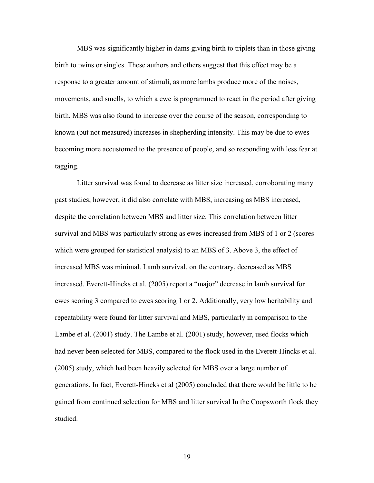MBS was significantly higher in dams giving birth to triplets than in those giving birth to twins or singles. These authors and others suggest that this effect may be a response to a greater amount of stimuli, as more lambs produce more of the noises, movements, and smells, to which a ewe is programmed to react in the period after giving birth. MBS was also found to increase over the course of the season, corresponding to known (but not measured) increases in shepherding intensity. This may be due to ewes becoming more accustomed to the presence of people, and so responding with less fear at tagging.

Litter survival was found to decrease as litter size increased, corroborating many past studies; however, it did also correlate with MBS, increasing as MBS increased, despite the correlation between MBS and litter size. This correlation between litter survival and MBS was particularly strong as ewes increased from MBS of 1 or 2 (scores which were grouped for statistical analysis) to an MBS of 3. Above 3, the effect of increased MBS was minimal. Lamb survival, on the contrary, decreased as MBS increased. Everett-Hincks et al. (2005) report a "major" decrease in lamb survival for ewes scoring 3 compared to ewes scoring 1 or 2. Additionally, very low heritability and repeatability were found for litter survival and MBS, particularly in comparison to the Lambe et al. (2001) study. The Lambe et al. (2001) study, however, used flocks which had never been selected for MBS, compared to the flock used in the Everett-Hincks et al. (2005) study, which had been heavily selected for MBS over a large number of generations. In fact, Everett-Hincks et al (2005) concluded that there would be little to be gained from continued selection for MBS and litter survival In the Coopsworth flock they studied.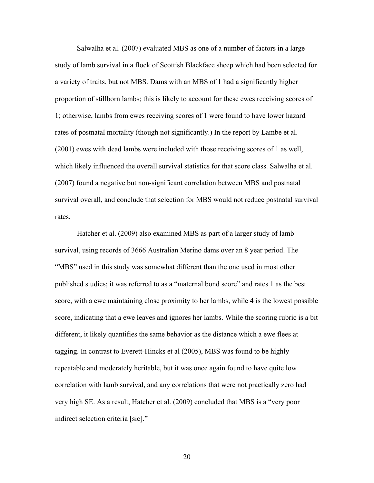Salwalha et al. (2007) evaluated MBS as one of a number of factors in a large study of lamb survival in a flock of Scottish Blackface sheep which had been selected for a variety of traits, but not MBS. Dams with an MBS of 1 had a significantly higher proportion of stillborn lambs; this is likely to account for these ewes receiving scores of 1; otherwise, lambs from ewes receiving scores of 1 were found to have lower hazard rates of postnatal mortality (though not significantly.) In the report by Lambe et al. (2001) ewes with dead lambs were included with those receiving scores of 1 as well, which likely influenced the overall survival statistics for that score class. Salwalha et al. (2007) found a negative but non-significant correlation between MBS and postnatal survival overall, and conclude that selection for MBS would not reduce postnatal survival rates.

Hatcher et al. (2009) also examined MBS as part of a larger study of lamb survival, using records of 3666 Australian Merino dams over an 8 year period. The "MBS" used in this study was somewhat different than the one used in most other published studies; it was referred to as a "maternal bond score" and rates 1 as the best score, with a ewe maintaining close proximity to her lambs, while 4 is the lowest possible score, indicating that a ewe leaves and ignores her lambs. While the scoring rubric is a bit different, it likely quantifies the same behavior as the distance which a ewe flees at tagging. In contrast to Everett-Hincks et al (2005), MBS was found to be highly repeatable and moderately heritable, but it was once again found to have quite low correlation with lamb survival, and any correlations that were not practically zero had very high SE. As a result, Hatcher et al. (2009) concluded that MBS is a "very poor indirect selection criteria [sic]."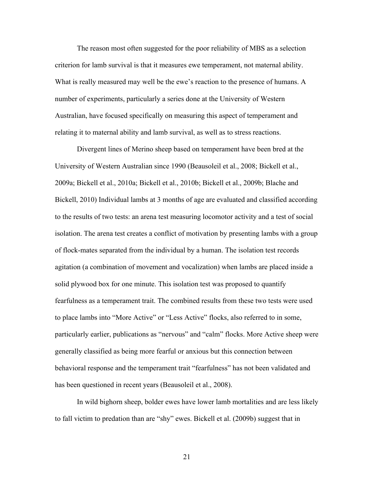The reason most often suggested for the poor reliability of MBS as a selection criterion for lamb survival is that it measures ewe temperament, not maternal ability. What is really measured may well be the ewe's reaction to the presence of humans. A number of experiments, particularly a series done at the University of Western Australian, have focused specifically on measuring this aspect of temperament and relating it to maternal ability and lamb survival, as well as to stress reactions.

Divergent lines of Merino sheep based on temperament have been bred at the University of Western Australian since 1990 (Beausoleil et al., 2008; Bickell et al., 2009a; Bickell et al., 2010a; Bickell et al., 2010b; Bickell et al., 2009b; Blache and Bickell, 2010) Individual lambs at 3 months of age are evaluated and classified according to the results of two tests: an arena test measuring locomotor activity and a test of social isolation. The arena test creates a conflict of motivation by presenting lambs with a group of flock-mates separated from the individual by a human. The isolation test records agitation (a combination of movement and vocalization) when lambs are placed inside a solid plywood box for one minute. This isolation test was proposed to quantify fearfulness as a temperament trait. The combined results from these two tests were used to place lambs into "More Active" or "Less Active" flocks, also referred to in some, particularly earlier, publications as "nervous" and "calm" flocks. More Active sheep were generally classified as being more fearful or anxious but this connection between behavioral response and the temperament trait "fearfulness" has not been validated and has been questioned in recent years (Beausoleil et al., 2008).

In wild bighorn sheep, bolder ewes have lower lamb mortalities and are less likely to fall victim to predation than are "shy" ewes. Bickell et al. (2009b) suggest that in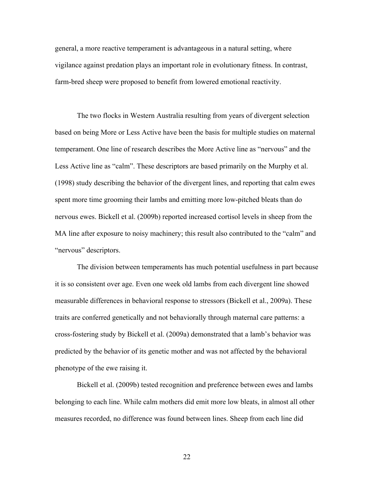general, a more reactive temperament is advantageous in a natural setting, where vigilance against predation plays an important role in evolutionary fitness. In contrast, farm-bred sheep were proposed to benefit from lowered emotional reactivity.

The two flocks in Western Australia resulting from years of divergent selection based on being More or Less Active have been the basis for multiple studies on maternal temperament. One line of research describes the More Active line as "nervous" and the Less Active line as "calm". These descriptors are based primarily on the Murphy et al. (1998) study describing the behavior of the divergent lines, and reporting that calm ewes spent more time grooming their lambs and emitting more low-pitched bleats than do nervous ewes. Bickell et al. (2009b) reported increased cortisol levels in sheep from the MA line after exposure to noisy machinery; this result also contributed to the "calm" and "nervous" descriptors.

The division between temperaments has much potential usefulness in part because it is so consistent over age. Even one week old lambs from each divergent line showed measurable differences in behavioral response to stressors (Bickell et al., 2009a). These traits are conferred genetically and not behaviorally through maternal care patterns: a cross-fostering study by Bickell et al. (2009a) demonstrated that a lamb's behavior was predicted by the behavior of its genetic mother and was not affected by the behavioral phenotype of the ewe raising it.

Bickell et al. (2009b) tested recognition and preference between ewes and lambs belonging to each line. While calm mothers did emit more low bleats, in almost all other measures recorded, no difference was found between lines. Sheep from each line did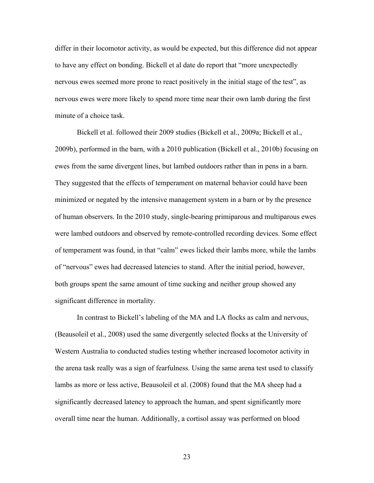differ in their locomotor activity, as would be expected, but this difference did not appear to have any effect on bonding. Bickell et al date do report that "more unexpectedly nervous ewes seemed more prone to react positively in the initial stage of the test", as nervous ewes were more likely to spend more time near their own lamb during the first minute of a choice task.

Bickell et al. followed their 2009 studies (Bickell et al., 2009a; Bickell et al., 2009b), performed in the barn, with a 2010 publication (Bickell et al., 2010b) focusing on ewes from the same divergent lines, but lambed outdoors rather than in pens in a barn. They suggested that the effects of temperament on maternal behavior could have been minimized or negated by the intensive management system in a barn or by the presence of human observers. In the 2010 study, single-bearing primiparous and multiparous ewes were lambed outdoors and observed by remote-controlled recording devices. Some effect of temperament was found, in that "calm" ewes licked their lambs more, while the lambs of "nervous" ewes had decreased latencies to stand. After the initial period, however, both groups spent the same amount of time sucking and neither group showed any significant difference in mortality.

In contrast to Bickell's labeling of the MA and LA flocks as calm and nervous, (Beausoleil et al., 2008) used the same divergently selected flocks at the University of Western Australia to conducted studies testing whether increased locomotor activity in the arena task really was a sign of fearfulness. Using the same arena test used to classify lambs as more or less active, Beausoleil et al. (2008) found that the MA sheep had a significantly decreased latency to approach the human, and spent significantly more overall time near the human. Additionally, a cortisol assay was performed on blood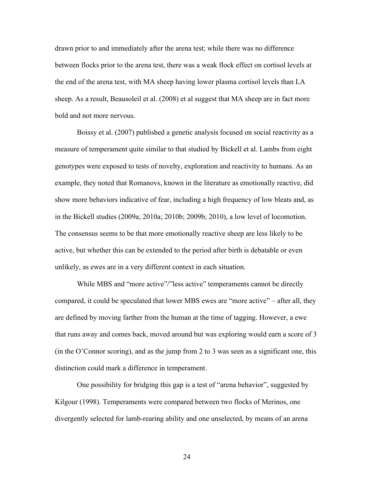drawn prior to and immediately after the arena test; while there was no difference between flocks prior to the arena test, there was a weak flock effect on cortisol levels at the end of the arena test, with MA sheep having lower plasma cortisol levels than LA sheep. As a result, Beausoleil et al. (2008) et al suggest that MA sheep are in fact more bold and not more nervous.

Boissy et al. (2007) published a genetic analysis focused on social reactivity as a measure of temperament quite similar to that studied by Bickell et al. Lambs from eight genotypes were exposed to tests of novelty, exploration and reactivity to humans. As an example, they noted that Romanovs, known in the literature as emotionally reactive, did show more behaviors indicative of fear, including a high frequency of low bleats and, as in the Bickell studies (2009a; 2010a; 2010b; 2009b; 2010), a low level of locomotion. The consensus seems to be that more emotionally reactive sheep are less likely to be active, but whether this can be extended to the period after birth is debatable or even unlikely, as ewes are in a very different context in each situation.

While MBS and "more active"/"less active" temperaments cannot be directly compared, it could be speculated that lower MBS ewes are "more active" – after all, they are defined by moving farther from the human at the time of tagging. However, a ewe that runs away and comes back, moved around but was exploring would earn a score of 3 (in the O'Connor scoring), and as the jump from 2 to 3 was seen as a significant one, this distinction could mark a difference in temperament.

One possibility for bridging this gap is a test of "arena behavior", suggested by Kilgour (1998). Temperaments were compared between two flocks of Merinos, one divergently selected for lamb-rearing ability and one unselected, by means of an arena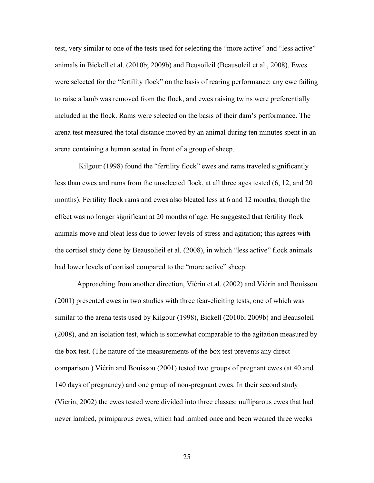test, very similar to one of the tests used for selecting the "more active" and "less active" animals in Bickell et al. (2010b; 2009b) and Beusoileil (Beausoleil et al., 2008). Ewes were selected for the "fertility flock" on the basis of rearing performance: any ewe failing to raise a lamb was removed from the flock, and ewes raising twins were preferentially included in the flock. Rams were selected on the basis of their dam's performance. The arena test measured the total distance moved by an animal during ten minutes spent in an arena containing a human seated in front of a group of sheep.

Kilgour (1998) found the "fertility flock" ewes and rams traveled significantly less than ewes and rams from the unselected flock, at all three ages tested (6, 12, and 20 months). Fertility flock rams and ewes also bleated less at 6 and 12 months, though the effect was no longer significant at 20 months of age. He suggested that fertility flock animals move and bleat less due to lower levels of stress and agitation; this agrees with the cortisol study done by Beausolieil et al. (2008), in which "less active" flock animals had lower levels of cortisol compared to the "more active" sheep.

Approaching from another direction, Viérin et al. (2002) and Viérin and Bouissou (2001) presented ewes in two studies with three fear-eliciting tests, one of which was similar to the arena tests used by Kilgour (1998), Bickell (2010b; 2009b) and Beausoleil (2008), and an isolation test, which is somewhat comparable to the agitation measured by the box test. (The nature of the measurements of the box test prevents any direct comparison.) Viérin and Bouissou (2001) tested two groups of pregnant ewes (at 40 and 140 days of pregnancy) and one group of non-pregnant ewes. In their second study (Vierin, 2002) the ewes tested were divided into three classes: nulliparous ewes that had never lambed, primiparous ewes, which had lambed once and been weaned three weeks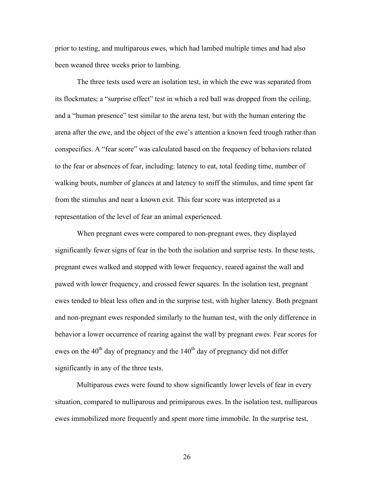prior to testing, and multiparous ewes, which had lambed multiple times and had also been weaned three weeks prior to lambing.

The three tests used were an isolation test, in which the ewe was separated from its flockmates; a "surprise effect" test in which a red ball was dropped from the ceiling, and a "human presence" test similar to the arena test, but with the human entering the arena after the ewe, and the object of the ewe's attention a known feed trough rather than conspecifics. A "fear score" was calculated based on the frequency of behaviors related to the fear or absences of fear, including: latency to eat, total feeding time, number of walking bouts, number of glances at and latency to sniff the stimulus, and time spent far from the stimulus and near a known exit. This fear score was interpreted as a representation of the level of fear an animal experienced.

When pregnant ewes were compared to non-pregnant ewes, they displayed significantly fewer signs of fear in the both the isolation and surprise tests. In these tests, pregnant ewes walked and stopped with lower frequency, reared against the wall and pawed with lower frequency, and crossed fewer squares. In the isolation test, pregnant ewes tended to bleat less often and in the surprise test, with higher latency. Both pregnant and non-pregnant ewes responded similarly to the human test, with the only difference in behavior a lower occurrence of rearing against the wall by pregnant ewes. Fear scores for ewes on the  $40<sup>th</sup>$  day of pregnancy and the  $140<sup>th</sup>$  day of pregnancy did not differ significantly in any of the three tests.

Multiparous ewes were found to show significantly lower levels of fear in every situation, compared to nulliparous and primiparous ewes. In the isolation test, nulliparous ewes immobilized more frequently and spent more time immobile. In the surprise test,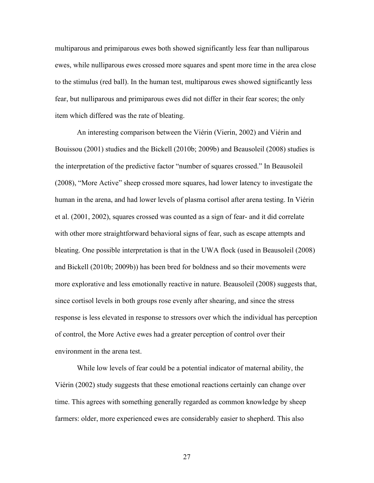multiparous and primiparous ewes both showed significantly less fear than nulliparous ewes, while nulliparous ewes crossed more squares and spent more time in the area close to the stimulus (red ball). In the human test, multiparous ewes showed significantly less fear, but nulliparous and primiparous ewes did not differ in their fear scores; the only item which differed was the rate of bleating.

An interesting comparison between the Viérin (Vierin, 2002) and Viérin and Bouissou (2001) studies and the Bickell (2010b; 2009b) and Beausoleil (2008) studies is the interpretation of the predictive factor "number of squares crossed." In Beausoleil (2008), "More Active" sheep crossed more squares, had lower latency to investigate the human in the arena, and had lower levels of plasma cortisol after arena testing. In Viérin et al. (2001, 2002), squares crossed was counted as a sign of fear- and it did correlate with other more straightforward behavioral signs of fear, such as escape attempts and bleating. One possible interpretation is that in the UWA flock (used in Beausoleil (2008) and Bickell (2010b; 2009b)) has been bred for boldness and so their movements were more explorative and less emotionally reactive in nature. Beausoleil (2008) suggests that, since cortisol levels in both groups rose evenly after shearing, and since the stress response is less elevated in response to stressors over which the individual has perception of control, the More Active ewes had a greater perception of control over their environment in the arena test.

While low levels of fear could be a potential indicator of maternal ability, the Viérin (2002) study suggests that these emotional reactions certainly can change over time. This agrees with something generally regarded as common knowledge by sheep farmers: older, more experienced ewes are considerably easier to shepherd. This also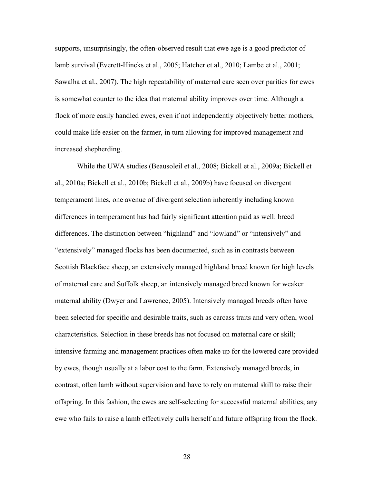supports, unsurprisingly, the often-observed result that ewe age is a good predictor of lamb survival (Everett-Hincks et al., 2005; Hatcher et al., 2010; Lambe et al., 2001; Sawalha et al., 2007). The high repeatability of maternal care seen over parities for ewes is somewhat counter to the idea that maternal ability improves over time. Although a flock of more easily handled ewes, even if not independently objectively better mothers, could make life easier on the farmer, in turn allowing for improved management and increased shepherding.

While the UWA studies (Beausoleil et al., 2008; Bickell et al., 2009a; Bickell et al., 2010a; Bickell et al., 2010b; Bickell et al., 2009b) have focused on divergent temperament lines, one avenue of divergent selection inherently including known differences in temperament has had fairly significant attention paid as well: breed differences. The distinction between "highland" and "lowland" or "intensively" and "extensively" managed flocks has been documented, such as in contrasts between Scottish Blackface sheep, an extensively managed highland breed known for high levels of maternal care and Suffolk sheep, an intensively managed breed known for weaker maternal ability (Dwyer and Lawrence, 2005). Intensively managed breeds often have been selected for specific and desirable traits, such as carcass traits and very often, wool characteristics. Selection in these breeds has not focused on maternal care or skill; intensive farming and management practices often make up for the lowered care provided by ewes, though usually at a labor cost to the farm. Extensively managed breeds, in contrast, often lamb without supervision and have to rely on maternal skill to raise their offspring. In this fashion, the ewes are self-selecting for successful maternal abilities; any ewe who fails to raise a lamb effectively culls herself and future offspring from the flock.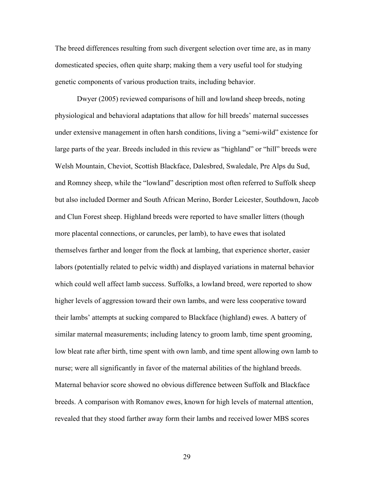The breed differences resulting from such divergent selection over time are, as in many domesticated species, often quite sharp; making them a very useful tool for studying genetic components of various production traits, including behavior.

Dwyer (2005) reviewed comparisons of hill and lowland sheep breeds, noting physiological and behavioral adaptations that allow for hill breeds' maternal successes under extensive management in often harsh conditions, living a "semi-wild" existence for large parts of the year. Breeds included in this review as "highland" or "hill" breeds were Welsh Mountain, Cheviot, Scottish Blackface, Dalesbred, Swaledale, Pre Alps du Sud, and Romney sheep, while the "lowland" description most often referred to Suffolk sheep but also included Dormer and South African Merino, Border Leicester, Southdown, Jacob and Clun Forest sheep. Highland breeds were reported to have smaller litters (though more placental connections, or caruncles, per lamb), to have ewes that isolated themselves farther and longer from the flock at lambing, that experience shorter, easier labors (potentially related to pelvic width) and displayed variations in maternal behavior which could well affect lamb success. Suffolks, a lowland breed, were reported to show higher levels of aggression toward their own lambs, and were less cooperative toward their lambs' attempts at sucking compared to Blackface (highland) ewes. A battery of similar maternal measurements; including latency to groom lamb, time spent grooming, low bleat rate after birth, time spent with own lamb, and time spent allowing own lamb to nurse; were all significantly in favor of the maternal abilities of the highland breeds. Maternal behavior score showed no obvious difference between Suffolk and Blackface breeds. A comparison with Romanov ewes, known for high levels of maternal attention, revealed that they stood farther away form their lambs and received lower MBS scores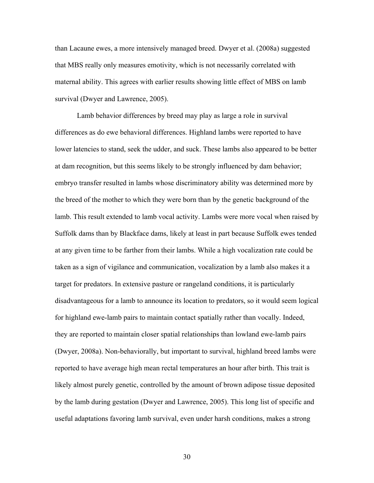than Lacaune ewes, a more intensively managed breed. Dwyer et al. (2008a) suggested that MBS really only measures emotivity, which is not necessarily correlated with maternal ability. This agrees with earlier results showing little effect of MBS on lamb survival (Dwyer and Lawrence, 2005).

Lamb behavior differences by breed may play as large a role in survival differences as do ewe behavioral differences. Highland lambs were reported to have lower latencies to stand, seek the udder, and suck. These lambs also appeared to be better at dam recognition, but this seems likely to be strongly influenced by dam behavior; embryo transfer resulted in lambs whose discriminatory ability was determined more by the breed of the mother to which they were born than by the genetic background of the lamb. This result extended to lamb vocal activity. Lambs were more vocal when raised by Suffolk dams than by Blackface dams, likely at least in part because Suffolk ewes tended at any given time to be farther from their lambs. While a high vocalization rate could be taken as a sign of vigilance and communication, vocalization by a lamb also makes it a target for predators. In extensive pasture or rangeland conditions, it is particularly disadvantageous for a lamb to announce its location to predators, so it would seem logical for highland ewe-lamb pairs to maintain contact spatially rather than vocally. Indeed, they are reported to maintain closer spatial relationships than lowland ewe-lamb pairs (Dwyer, 2008a). Non-behaviorally, but important to survival, highland breed lambs were reported to have average high mean rectal temperatures an hour after birth. This trait is likely almost purely genetic, controlled by the amount of brown adipose tissue deposited by the lamb during gestation (Dwyer and Lawrence, 2005). This long list of specific and useful adaptations favoring lamb survival, even under harsh conditions, makes a strong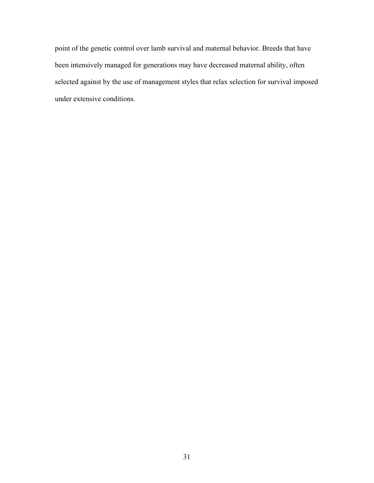point of the genetic control over lamb survival and maternal behavior. Breeds that have been intensively managed for generations may have decreased maternal ability, often selected against by the use of management styles that relax selection for survival imposed under extensive conditions.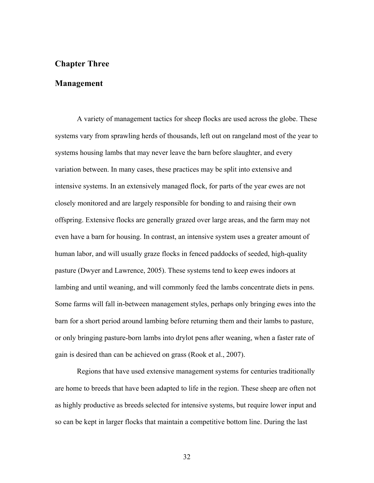### **Chapter Three**

### **Management**

A variety of management tactics for sheep flocks are used across the globe. These systems vary from sprawling herds of thousands, left out on rangeland most of the year to systems housing lambs that may never leave the barn before slaughter, and every variation between. In many cases, these practices may be split into extensive and intensive systems. In an extensively managed flock, for parts of the year ewes are not closely monitored and are largely responsible for bonding to and raising their own offspring. Extensive flocks are generally grazed over large areas, and the farm may not even have a barn for housing. In contrast, an intensive system uses a greater amount of human labor, and will usually graze flocks in fenced paddocks of seeded, high-quality pasture (Dwyer and Lawrence, 2005). These systems tend to keep ewes indoors at lambing and until weaning, and will commonly feed the lambs concentrate diets in pens. Some farms will fall in-between management styles, perhaps only bringing ewes into the barn for a short period around lambing before returning them and their lambs to pasture, or only bringing pasture-born lambs into drylot pens after weaning, when a faster rate of gain is desired than can be achieved on grass (Rook et al., 2007).

Regions that have used extensive management systems for centuries traditionally are home to breeds that have been adapted to life in the region. These sheep are often not as highly productive as breeds selected for intensive systems, but require lower input and so can be kept in larger flocks that maintain a competitive bottom line. During the last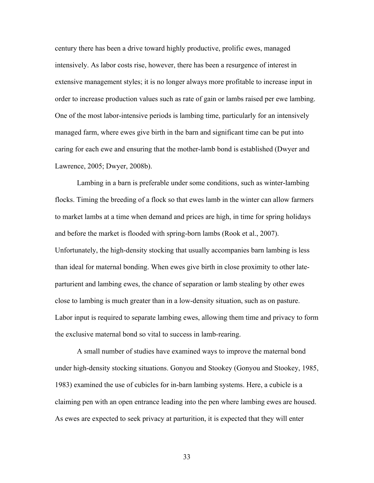century there has been a drive toward highly productive, prolific ewes, managed intensively. As labor costs rise, however, there has been a resurgence of interest in extensive management styles; it is no longer always more profitable to increase input in order to increase production values such as rate of gain or lambs raised per ewe lambing. One of the most labor-intensive periods is lambing time, particularly for an intensively managed farm, where ewes give birth in the barn and significant time can be put into caring for each ewe and ensuring that the mother-lamb bond is established (Dwyer and Lawrence, 2005; Dwyer, 2008b).

Lambing in a barn is preferable under some conditions, such as winter-lambing flocks. Timing the breeding of a flock so that ewes lamb in the winter can allow farmers to market lambs at a time when demand and prices are high, in time for spring holidays and before the market is flooded with spring-born lambs (Rook et al., 2007). Unfortunately, the high-density stocking that usually accompanies barn lambing is less than ideal for maternal bonding. When ewes give birth in close proximity to other lateparturient and lambing ewes, the chance of separation or lamb stealing by other ewes close to lambing is much greater than in a low-density situation, such as on pasture. Labor input is required to separate lambing ewes, allowing them time and privacy to form the exclusive maternal bond so vital to success in lamb-rearing.

A small number of studies have examined ways to improve the maternal bond under high-density stocking situations. Gonyou and Stookey (Gonyou and Stookey, 1985, 1983) examined the use of cubicles for in-barn lambing systems. Here, a cubicle is a claiming pen with an open entrance leading into the pen where lambing ewes are housed. As ewes are expected to seek privacy at parturition, it is expected that they will enter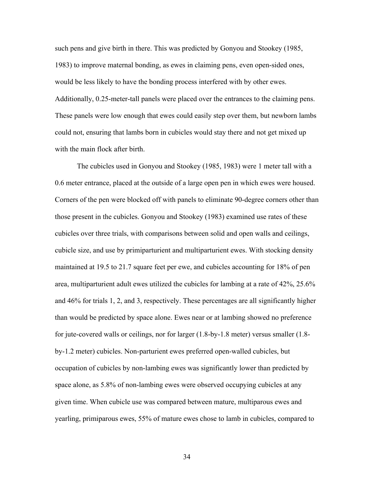such pens and give birth in there. This was predicted by Gonyou and Stookey (1985, 1983) to improve maternal bonding, as ewes in claiming pens, even open-sided ones, would be less likely to have the bonding process interfered with by other ewes. Additionally, 0.25-meter-tall panels were placed over the entrances to the claiming pens. These panels were low enough that ewes could easily step over them, but newborn lambs could not, ensuring that lambs born in cubicles would stay there and not get mixed up with the main flock after birth.

The cubicles used in Gonyou and Stookey (1985, 1983) were 1 meter tall with a 0.6 meter entrance, placed at the outside of a large open pen in which ewes were housed. Corners of the pen were blocked off with panels to eliminate 90-degree corners other than those present in the cubicles. Gonyou and Stookey (1983) examined use rates of these cubicles over three trials, with comparisons between solid and open walls and ceilings, cubicle size, and use by primiparturient and multiparturient ewes. With stocking density maintained at 19.5 to 21.7 square feet per ewe, and cubicles accounting for 18% of pen area, multiparturient adult ewes utilized the cubicles for lambing at a rate of 42%, 25.6% and 46% for trials 1, 2, and 3, respectively. These percentages are all significantly higher than would be predicted by space alone. Ewes near or at lambing showed no preference for jute-covered walls or ceilings, nor for larger (1.8-by-1.8 meter) versus smaller (1.8 by-1.2 meter) cubicles. Non-parturient ewes preferred open-walled cubicles, but occupation of cubicles by non-lambing ewes was significantly lower than predicted by space alone, as 5.8% of non-lambing ewes were observed occupying cubicles at any given time. When cubicle use was compared between mature, multiparous ewes and yearling, primiparous ewes, 55% of mature ewes chose to lamb in cubicles, compared to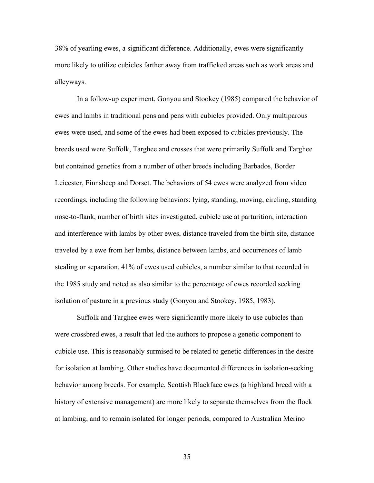38% of yearling ewes, a significant difference. Additionally, ewes were significantly more likely to utilize cubicles farther away from trafficked areas such as work areas and alleyways.

In a follow-up experiment, Gonyou and Stookey (1985) compared the behavior of ewes and lambs in traditional pens and pens with cubicles provided. Only multiparous ewes were used, and some of the ewes had been exposed to cubicles previously. The breeds used were Suffolk, Targhee and crosses that were primarily Suffolk and Targhee but contained genetics from a number of other breeds including Barbados, Border Leicester, Finnsheep and Dorset. The behaviors of 54 ewes were analyzed from video recordings, including the following behaviors: lying, standing, moving, circling, standing nose-to-flank, number of birth sites investigated, cubicle use at parturition, interaction and interference with lambs by other ewes, distance traveled from the birth site, distance traveled by a ewe from her lambs, distance between lambs, and occurrences of lamb stealing or separation. 41% of ewes used cubicles, a number similar to that recorded in the 1985 study and noted as also similar to the percentage of ewes recorded seeking isolation of pasture in a previous study (Gonyou and Stookey, 1985, 1983).

Suffolk and Targhee ewes were significantly more likely to use cubicles than were crossbred ewes, a result that led the authors to propose a genetic component to cubicle use. This is reasonably surmised to be related to genetic differences in the desire for isolation at lambing. Other studies have documented differences in isolation-seeking behavior among breeds. For example, Scottish Blackface ewes (a highland breed with a history of extensive management) are more likely to separate themselves from the flock at lambing, and to remain isolated for longer periods, compared to Australian Merino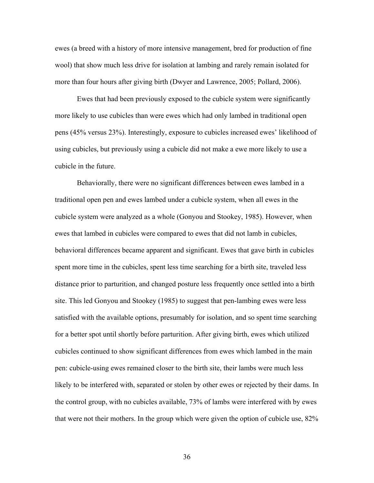ewes (a breed with a history of more intensive management, bred for production of fine wool) that show much less drive for isolation at lambing and rarely remain isolated for more than four hours after giving birth (Dwyer and Lawrence, 2005; Pollard, 2006).

Ewes that had been previously exposed to the cubicle system were significantly more likely to use cubicles than were ewes which had only lambed in traditional open pens (45% versus 23%). Interestingly, exposure to cubicles increased ewes' likelihood of using cubicles, but previously using a cubicle did not make a ewe more likely to use a cubicle in the future.

Behaviorally, there were no significant differences between ewes lambed in a traditional open pen and ewes lambed under a cubicle system, when all ewes in the cubicle system were analyzed as a whole (Gonyou and Stookey, 1985). However, when ewes that lambed in cubicles were compared to ewes that did not lamb in cubicles, behavioral differences became apparent and significant. Ewes that gave birth in cubicles spent more time in the cubicles, spent less time searching for a birth site, traveled less distance prior to parturition, and changed posture less frequently once settled into a birth site. This led Gonyou and Stookey (1985) to suggest that pen-lambing ewes were less satisfied with the available options, presumably for isolation, and so spent time searching for a better spot until shortly before parturition. After giving birth, ewes which utilized cubicles continued to show significant differences from ewes which lambed in the main pen: cubicle-using ewes remained closer to the birth site, their lambs were much less likely to be interfered with, separated or stolen by other ewes or rejected by their dams. In the control group, with no cubicles available, 73% of lambs were interfered with by ewes that were not their mothers. In the group which were given the option of cubicle use, 82%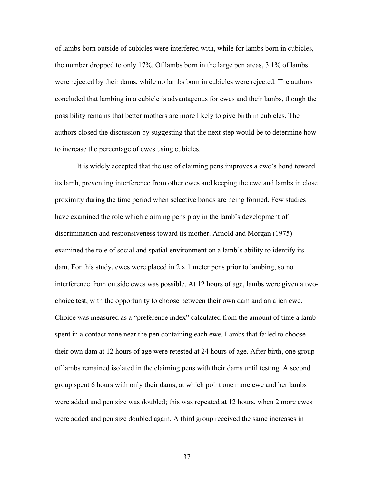of lambs born outside of cubicles were interfered with, while for lambs born in cubicles, the number dropped to only 17%. Of lambs born in the large pen areas, 3.1% of lambs were rejected by their dams, while no lambs born in cubicles were rejected. The authors concluded that lambing in a cubicle is advantageous for ewes and their lambs, though the possibility remains that better mothers are more likely to give birth in cubicles. The authors closed the discussion by suggesting that the next step would be to determine how to increase the percentage of ewes using cubicles.

It is widely accepted that the use of claiming pens improves a ewe's bond toward its lamb, preventing interference from other ewes and keeping the ewe and lambs in close proximity during the time period when selective bonds are being formed. Few studies have examined the role which claiming pens play in the lamb's development of discrimination and responsiveness toward its mother. Arnold and Morgan (1975) examined the role of social and spatial environment on a lamb's ability to identify its dam. For this study, ewes were placed in 2 x 1 meter pens prior to lambing, so no interference from outside ewes was possible. At 12 hours of age, lambs were given a twochoice test, with the opportunity to choose between their own dam and an alien ewe. Choice was measured as a "preference index" calculated from the amount of time a lamb spent in a contact zone near the pen containing each ewe. Lambs that failed to choose their own dam at 12 hours of age were retested at 24 hours of age. After birth, one group of lambs remained isolated in the claiming pens with their dams until testing. A second group spent 6 hours with only their dams, at which point one more ewe and her lambs were added and pen size was doubled; this was repeated at 12 hours, when 2 more ewes were added and pen size doubled again. A third group received the same increases in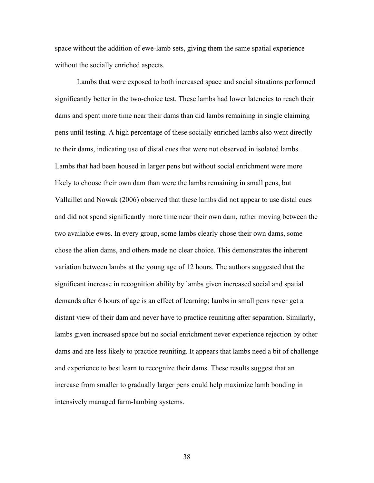space without the addition of ewe-lamb sets, giving them the same spatial experience without the socially enriched aspects.

Lambs that were exposed to both increased space and social situations performed significantly better in the two-choice test. These lambs had lower latencies to reach their dams and spent more time near their dams than did lambs remaining in single claiming pens until testing. A high percentage of these socially enriched lambs also went directly to their dams, indicating use of distal cues that were not observed in isolated lambs. Lambs that had been housed in larger pens but without social enrichment were more likely to choose their own dam than were the lambs remaining in small pens, but Vallaillet and Nowak (2006) observed that these lambs did not appear to use distal cues and did not spend significantly more time near their own dam, rather moving between the two available ewes. In every group, some lambs clearly chose their own dams, some chose the alien dams, and others made no clear choice. This demonstrates the inherent variation between lambs at the young age of 12 hours. The authors suggested that the significant increase in recognition ability by lambs given increased social and spatial demands after 6 hours of age is an effect of learning; lambs in small pens never get a distant view of their dam and never have to practice reuniting after separation. Similarly, lambs given increased space but no social enrichment never experience rejection by other dams and are less likely to practice reuniting. It appears that lambs need a bit of challenge and experience to best learn to recognize their dams. These results suggest that an increase from smaller to gradually larger pens could help maximize lamb bonding in intensively managed farm-lambing systems.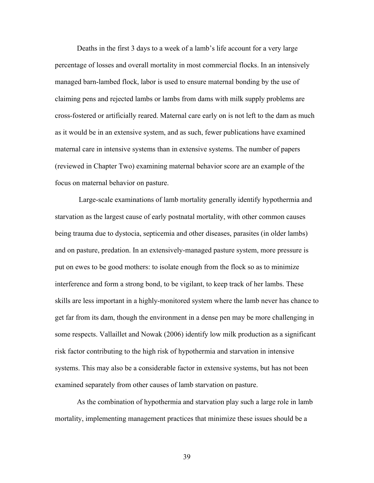Deaths in the first 3 days to a week of a lamb's life account for a very large percentage of losses and overall mortality in most commercial flocks. In an intensively managed barn-lambed flock, labor is used to ensure maternal bonding by the use of claiming pens and rejected lambs or lambs from dams with milk supply problems are cross-fostered or artificially reared. Maternal care early on is not left to the dam as much as it would be in an extensive system, and as such, fewer publications have examined maternal care in intensive systems than in extensive systems. The number of papers (reviewed in Chapter Two) examining maternal behavior score are an example of the focus on maternal behavior on pasture.

Large-scale examinations of lamb mortality generally identify hypothermia and starvation as the largest cause of early postnatal mortality, with other common causes being trauma due to dystocia, septicemia and other diseases, parasites (in older lambs) and on pasture, predation. In an extensively-managed pasture system, more pressure is put on ewes to be good mothers: to isolate enough from the flock so as to minimize interference and form a strong bond, to be vigilant, to keep track of her lambs. These skills are less important in a highly-monitored system where the lamb never has chance to get far from its dam, though the environment in a dense pen may be more challenging in some respects. Vallaillet and Nowak (2006) identify low milk production as a significant risk factor contributing to the high risk of hypothermia and starvation in intensive systems. This may also be a considerable factor in extensive systems, but has not been examined separately from other causes of lamb starvation on pasture.

As the combination of hypothermia and starvation play such a large role in lamb mortality, implementing management practices that minimize these issues should be a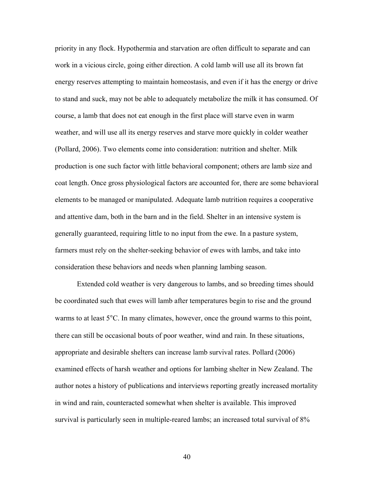priority in any flock. Hypothermia and starvation are often difficult to separate and can work in a vicious circle, going either direction. A cold lamb will use all its brown fat energy reserves attempting to maintain homeostasis, and even if it has the energy or drive to stand and suck, may not be able to adequately metabolize the milk it has consumed. Of course, a lamb that does not eat enough in the first place will starve even in warm weather, and will use all its energy reserves and starve more quickly in colder weather (Pollard, 2006). Two elements come into consideration: nutrition and shelter. Milk production is one such factor with little behavioral component; others are lamb size and coat length. Once gross physiological factors are accounted for, there are some behavioral elements to be managed or manipulated. Adequate lamb nutrition requires a cooperative and attentive dam, both in the barn and in the field. Shelter in an intensive system is generally guaranteed, requiring little to no input from the ewe. In a pasture system, farmers must rely on the shelter-seeking behavior of ewes with lambs, and take into consideration these behaviors and needs when planning lambing season.

Extended cold weather is very dangerous to lambs, and so breeding times should be coordinated such that ewes will lamb after temperatures begin to rise and the ground warms to at least 5°C. In many climates, however, once the ground warms to this point, there can still be occasional bouts of poor weather, wind and rain. In these situations, appropriate and desirable shelters can increase lamb survival rates. Pollard (2006) examined effects of harsh weather and options for lambing shelter in New Zealand. The author notes a history of publications and interviews reporting greatly increased mortality in wind and rain, counteracted somewhat when shelter is available. This improved survival is particularly seen in multiple-reared lambs; an increased total survival of 8%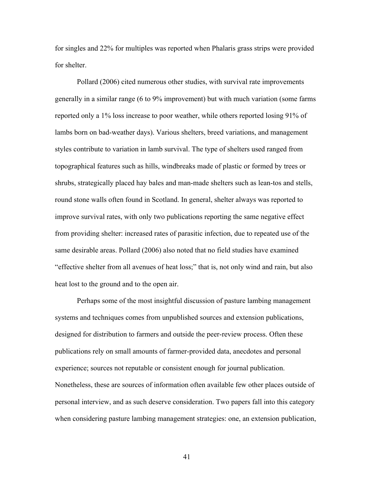for singles and 22% for multiples was reported when Phalaris grass strips were provided for shelter.

Pollard (2006) cited numerous other studies, with survival rate improvements generally in a similar range (6 to 9% improvement) but with much variation (some farms reported only a 1% loss increase to poor weather, while others reported losing 91% of lambs born on bad-weather days). Various shelters, breed variations, and management styles contribute to variation in lamb survival. The type of shelters used ranged from topographical features such as hills, windbreaks made of plastic or formed by trees or shrubs, strategically placed hay bales and man-made shelters such as lean-tos and stells, round stone walls often found in Scotland. In general, shelter always was reported to improve survival rates, with only two publications reporting the same negative effect from providing shelter: increased rates of parasitic infection, due to repeated use of the same desirable areas. Pollard (2006) also noted that no field studies have examined "effective shelter from all avenues of heat loss;" that is, not only wind and rain, but also heat lost to the ground and to the open air.

Perhaps some of the most insightful discussion of pasture lambing management systems and techniques comes from unpublished sources and extension publications, designed for distribution to farmers and outside the peer-review process. Often these publications rely on small amounts of farmer-provided data, anecdotes and personal experience; sources not reputable or consistent enough for journal publication. Nonetheless, these are sources of information often available few other places outside of personal interview, and as such deserve consideration. Two papers fall into this category when considering pasture lambing management strategies: one, an extension publication,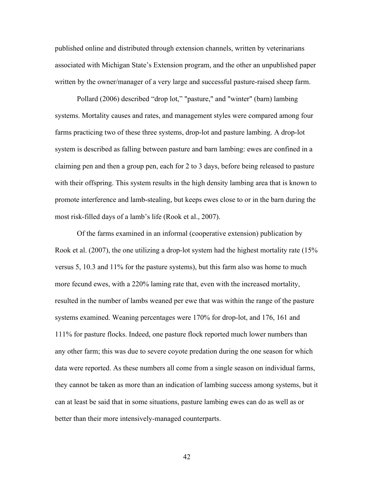published online and distributed through extension channels, written by veterinarians associated with Michigan State's Extension program, and the other an unpublished paper written by the owner/manager of a very large and successful pasture-raised sheep farm.

Pollard (2006) described "drop lot," "pasture," and "winter" (barn) lambing systems. Mortality causes and rates, and management styles were compared among four farms practicing two of these three systems, drop-lot and pasture lambing. A drop-lot system is described as falling between pasture and barn lambing: ewes are confined in a claiming pen and then a group pen, each for 2 to 3 days, before being released to pasture with their offspring. This system results in the high density lambing area that is known to promote interference and lamb-stealing, but keeps ewes close to or in the barn during the most risk-filled days of a lamb's life (Rook et al., 2007).

Of the farms examined in an informal (cooperative extension) publication by Rook et al. (2007), the one utilizing a drop-lot system had the highest mortality rate (15% versus 5, 10.3 and 11% for the pasture systems), but this farm also was home to much more fecund ewes, with a 220% laming rate that, even with the increased mortality, resulted in the number of lambs weaned per ewe that was within the range of the pasture systems examined. Weaning percentages were 170% for drop-lot, and 176, 161 and 111% for pasture flocks. Indeed, one pasture flock reported much lower numbers than any other farm; this was due to severe coyote predation during the one season for which data were reported. As these numbers all come from a single season on individual farms, they cannot be taken as more than an indication of lambing success among systems, but it can at least be said that in some situations, pasture lambing ewes can do as well as or better than their more intensively-managed counterparts.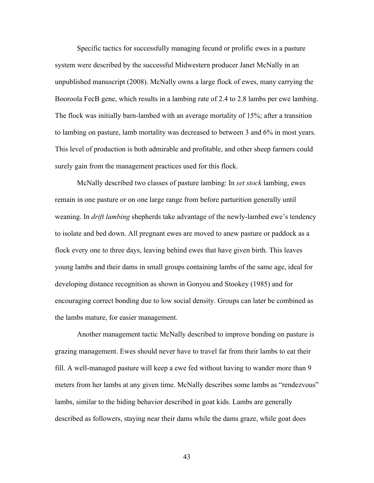Specific tactics for successfully managing fecund or prolific ewes in a pasture system were described by the successful Midwestern producer Janet McNally in an unpublished manuscript (2008). McNally owns a large flock of ewes, many carrying the Booroola FecB gene, which results in a lambing rate of 2.4 to 2.8 lambs per ewe lambing. The flock was initially barn-lambed with an average mortality of 15%; after a transition to lambing on pasture, lamb mortality was decreased to between 3 and 6% in most years. This level of production is both admirable and profitable, and other sheep farmers could surely gain from the management practices used for this flock.

McNally described two classes of pasture lambing: In *set stock* lambing, ewes remain in one pasture or on one large range from before parturition generally until weaning. In *drift lambing* shepherds take advantage of the newly-lambed ewe's tendency to isolate and bed down. All pregnant ewes are moved to anew pasture or paddock as a flock every one to three days, leaving behind ewes that have given birth. This leaves young lambs and their dams in small groups containing lambs of the same age, ideal for developing distance recognition as shown in Gonyou and Stookey (1985) and for encouraging correct bonding due to low social density. Groups can later be combined as the lambs mature, for easier management.

Another management tactic McNally described to improve bonding on pasture is grazing management. Ewes should never have to travel far from their lambs to eat their fill. A well-managed pasture will keep a ewe fed without having to wander more than 9 meters from her lambs at any given time. McNally describes some lambs as "rendezvous" lambs, similar to the hiding behavior described in goat kids. Lambs are generally described as followers, staying near their dams while the dams graze, while goat does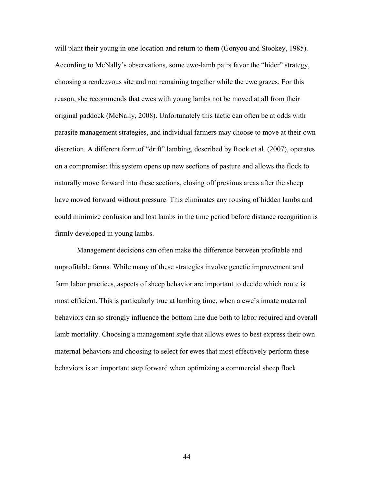will plant their young in one location and return to them (Gonyou and Stookey, 1985). According to McNally's observations, some ewe-lamb pairs favor the "hider" strategy, choosing a rendezvous site and not remaining together while the ewe grazes. For this reason, she recommends that ewes with young lambs not be moved at all from their original paddock (McNally, 2008). Unfortunately this tactic can often be at odds with parasite management strategies, and individual farmers may choose to move at their own discretion. A different form of "drift" lambing, described by Rook et al. (2007), operates on a compromise: this system opens up new sections of pasture and allows the flock to naturally move forward into these sections, closing off previous areas after the sheep have moved forward without pressure. This eliminates any rousing of hidden lambs and could minimize confusion and lost lambs in the time period before distance recognition is firmly developed in young lambs.

Management decisions can often make the difference between profitable and unprofitable farms. While many of these strategies involve genetic improvement and farm labor practices, aspects of sheep behavior are important to decide which route is most efficient. This is particularly true at lambing time, when a ewe's innate maternal behaviors can so strongly influence the bottom line due both to labor required and overall lamb mortality. Choosing a management style that allows ewes to best express their own maternal behaviors and choosing to select for ewes that most effectively perform these behaviors is an important step forward when optimizing a commercial sheep flock.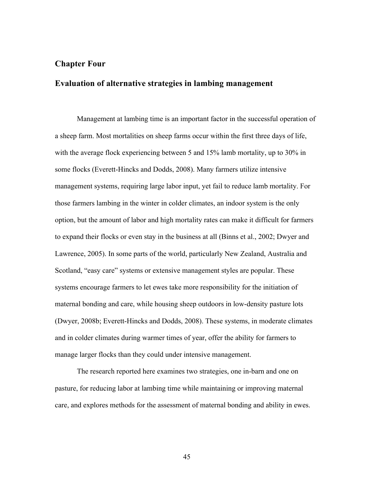# **Chapter Four**

## **Evaluation of alternative strategies in lambing management**

Management at lambing time is an important factor in the successful operation of a sheep farm. Most mortalities on sheep farms occur within the first three days of life, with the average flock experiencing between 5 and 15% lamb mortality, up to 30% in some flocks (Everett-Hincks and Dodds, 2008). Many farmers utilize intensive management systems, requiring large labor input, yet fail to reduce lamb mortality. For those farmers lambing in the winter in colder climates, an indoor system is the only option, but the amount of labor and high mortality rates can make it difficult for farmers to expand their flocks or even stay in the business at all (Binns et al., 2002; Dwyer and Lawrence, 2005). In some parts of the world, particularly New Zealand, Australia and Scotland, "easy care" systems or extensive management styles are popular. These systems encourage farmers to let ewes take more responsibility for the initiation of maternal bonding and care, while housing sheep outdoors in low-density pasture lots (Dwyer, 2008b; Everett-Hincks and Dodds, 2008). These systems, in moderate climates and in colder climates during warmer times of year, offer the ability for farmers to manage larger flocks than they could under intensive management.

The research reported here examines two strategies, one in-barn and one on pasture, for reducing labor at lambing time while maintaining or improving maternal care, and explores methods for the assessment of maternal bonding and ability in ewes.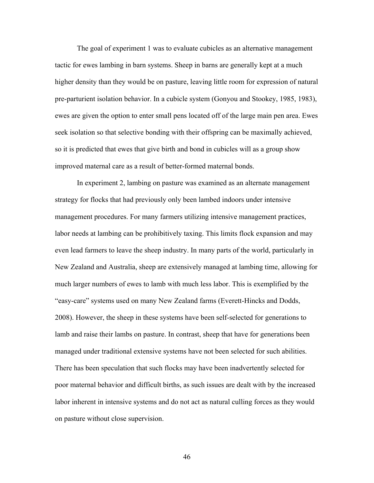The goal of experiment 1 was to evaluate cubicles as an alternative management tactic for ewes lambing in barn systems. Sheep in barns are generally kept at a much higher density than they would be on pasture, leaving little room for expression of natural pre-parturient isolation behavior. In a cubicle system (Gonyou and Stookey, 1985, 1983), ewes are given the option to enter small pens located off of the large main pen area. Ewes seek isolation so that selective bonding with their offspring can be maximally achieved, so it is predicted that ewes that give birth and bond in cubicles will as a group show improved maternal care as a result of better-formed maternal bonds.

In experiment 2, lambing on pasture was examined as an alternate management strategy for flocks that had previously only been lambed indoors under intensive management procedures. For many farmers utilizing intensive management practices, labor needs at lambing can be prohibitively taxing. This limits flock expansion and may even lead farmers to leave the sheep industry. In many parts of the world, particularly in New Zealand and Australia, sheep are extensively managed at lambing time, allowing for much larger numbers of ewes to lamb with much less labor. This is exemplified by the "easy-care" systems used on many New Zealand farms (Everett-Hincks and Dodds, 2008). However, the sheep in these systems have been self-selected for generations to lamb and raise their lambs on pasture. In contrast, sheep that have for generations been managed under traditional extensive systems have not been selected for such abilities. There has been speculation that such flocks may have been inadvertently selected for poor maternal behavior and difficult births, as such issues are dealt with by the increased labor inherent in intensive systems and do not act as natural culling forces as they would on pasture without close supervision.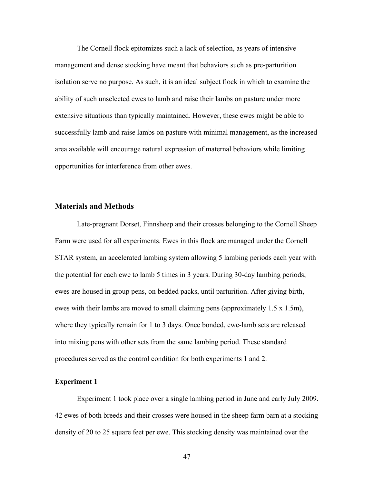The Cornell flock epitomizes such a lack of selection, as years of intensive management and dense stocking have meant that behaviors such as pre-parturition isolation serve no purpose. As such, it is an ideal subject flock in which to examine the ability of such unselected ewes to lamb and raise their lambs on pasture under more extensive situations than typically maintained. However, these ewes might be able to successfully lamb and raise lambs on pasture with minimal management, as the increased area available will encourage natural expression of maternal behaviors while limiting opportunities for interference from other ewes.

### **Materials and Methods**

Late-pregnant Dorset, Finnsheep and their crosses belonging to the Cornell Sheep Farm were used for all experiments. Ewes in this flock are managed under the Cornell STAR system, an accelerated lambing system allowing 5 lambing periods each year with the potential for each ewe to lamb 5 times in 3 years. During 30-day lambing periods, ewes are housed in group pens, on bedded packs, until parturition. After giving birth, ewes with their lambs are moved to small claiming pens (approximately 1.5 x 1.5m), where they typically remain for 1 to 3 days. Once bonded, ewe-lamb sets are released into mixing pens with other sets from the same lambing period. These standard procedures served as the control condition for both experiments 1 and 2.

### **Experiment 1**

Experiment 1 took place over a single lambing period in June and early July 2009. 42 ewes of both breeds and their crosses were housed in the sheep farm barn at a stocking density of 20 to 25 square feet per ewe. This stocking density was maintained over the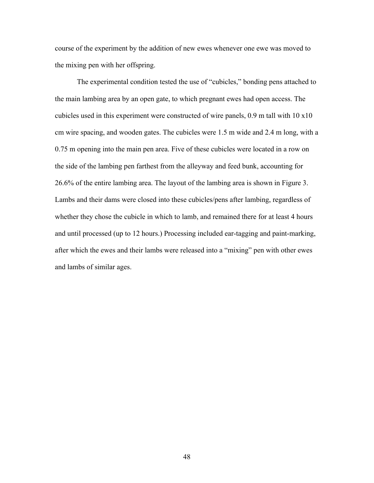course of the experiment by the addition of new ewes whenever one ewe was moved to the mixing pen with her offspring.

The experimental condition tested the use of "cubicles," bonding pens attached to the main lambing area by an open gate, to which pregnant ewes had open access. The cubicles used in this experiment were constructed of wire panels, 0.9 m tall with 10 x10 cm wire spacing, and wooden gates. The cubicles were 1.5 m wide and 2.4 m long, with a 0.75 m opening into the main pen area. Five of these cubicles were located in a row on the side of the lambing pen farthest from the alleyway and feed bunk, accounting for 26.6% of the entire lambing area. The layout of the lambing area is shown in Figure 3. Lambs and their dams were closed into these cubicles/pens after lambing, regardless of whether they chose the cubicle in which to lamb, and remained there for at least 4 hours and until processed (up to 12 hours.) Processing included ear-tagging and paint-marking, after which the ewes and their lambs were released into a "mixing" pen with other ewes and lambs of similar ages.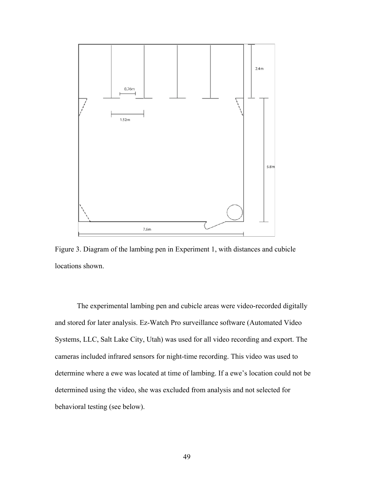

Figure 3. Diagram of the lambing pen in Experiment 1, with distances and cubicle locations shown.

The experimental lambing pen and cubicle areas were video-recorded digitally and stored for later analysis. Ez-Watch Pro surveillance software (Automated Video Systems, LLC, Salt Lake City, Utah) was used for all video recording and export. The cameras included infrared sensors for night-time recording. This video was used to determine where a ewe was located at time of lambing. If a ewe's location could not be determined using the video, she was excluded from analysis and not selected for behavioral testing (see below).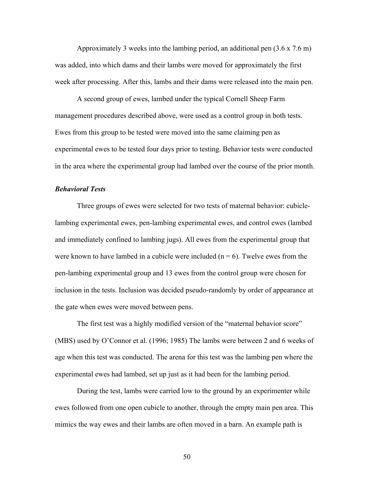Approximately 3 weeks into the lambing period, an additional pen (3.6 x 7.6 m) was added, into which dams and their lambs were moved for approximately the first week after processing. After this, lambs and their dams were released into the main pen.

A second group of ewes, lambed under the typical Cornell Sheep Farm management procedures described above, were used as a control group in both tests. Ewes from this group to be tested were moved into the same claiming pen as experimental ewes to be tested four days prior to testing. Behavior tests were conducted in the area where the experimental group had lambed over the course of the prior month.

## *Behavioral Tests*

Three groups of ewes were selected for two tests of maternal behavior: cubiclelambing experimental ewes, pen-lambing experimental ewes, and control ewes (lambed and immediately confined to lambing jugs). All ewes from the experimental group that were known to have lambed in a cubicle were included  $(n = 6)$ . Twelve ewes from the pen-lambing experimental group and 13 ewes from the control group were chosen for inclusion in the tests. Inclusion was decided pseudo-randomly by order of appearance at the gate when ewes were moved between pens.

The first test was a highly modified version of the "maternal behavior score" (MBS) used by O'Connor et al. (1996; 1985) The lambs were between 2 and 6 weeks of age when this test was conducted. The arena for this test was the lambing pen where the experimental ewes had lambed, set up just as it had been for the lambing period.

During the test, lambs were carried low to the ground by an experimenter while ewes followed from one open cubicle to another, through the empty main pen area. This mimics the way ewes and their lambs are often moved in a barn. An example path is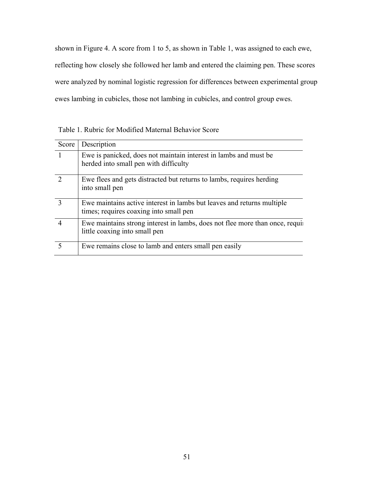shown in Figure 4. A score from 1 to 5, as shown in Table 1, was assigned to each ewe, reflecting how closely she followed her lamb and entered the claiming pen. These scores were analyzed by nominal logistic regression for differences between experimental group ewes lambing in cubicles, those not lambing in cubicles, and control group ewes.

Table 1. Rubric for Modified Maternal Behavior Score

| Score         | Description                                                                                                      |
|---------------|------------------------------------------------------------------------------------------------------------------|
|               | Ewe is panicked, does not maintain interest in lambs and must be<br>herded into small pen with difficulty        |
| $\mathcal{D}$ | Ewe flees and gets distracted but returns to lambs, requires herding<br>into small pen                           |
| 3             | Ewe maintains active interest in lambs but leaves and returns multiple<br>times; requires coaxing into small pen |
|               | Ewe maintains strong interest in lambs, does not flee more than once, required<br>little coaxing into small pen  |
|               | Ewe remains close to lamb and enters small pen easily                                                            |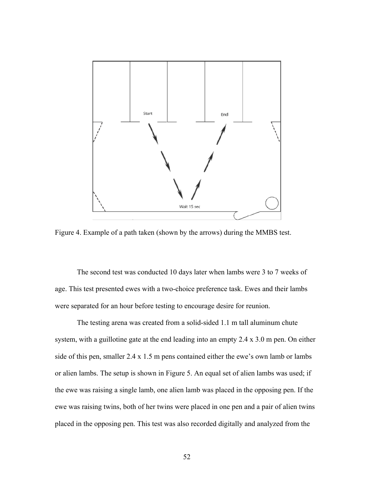

Figure 4. Example of a path taken (shown by the arrows) during the MMBS test.

The second test was conducted 10 days later when lambs were 3 to 7 weeks of age. This test presented ewes with a two-choice preference task. Ewes and their lambs were separated for an hour before testing to encourage desire for reunion.

The testing arena was created from a solid-sided 1.1 m tall aluminum chute system, with a guillotine gate at the end leading into an empty 2.4 x 3.0 m pen. On either side of this pen, smaller 2.4 x 1.5 m pens contained either the ewe's own lamb or lambs or alien lambs. The setup is shown in Figure 5. An equal set of alien lambs was used; if the ewe was raising a single lamb, one alien lamb was placed in the opposing pen. If the ewe was raising twins, both of her twins were placed in one pen and a pair of alien twins placed in the opposing pen. This test was also recorded digitally and analyzed from the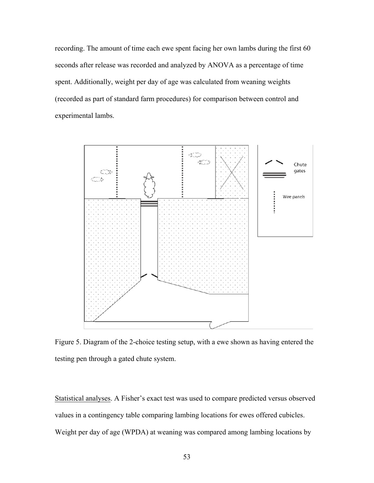recording. The amount of time each ewe spent facing her own lambs during the first 60 seconds after release was recorded and analyzed by ANOVA as a percentage of time spent. Additionally, weight per day of age was calculated from weaning weights (recorded as part of standard farm procedures) for comparison between control and experimental lambs.



Figure 5. Diagram of the 2-choice testing setup, with a ewe shown as having entered the testing pen through a gated chute system.

Statistical analyses. A Fisher's exact test was used to compare predicted versus observed values in a contingency table comparing lambing locations for ewes offered cubicles. Weight per day of age (WPDA) at weaning was compared among lambing locations by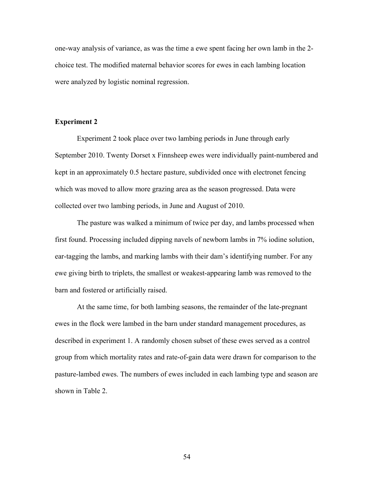one-way analysis of variance, as was the time a ewe spent facing her own lamb in the 2 choice test. The modified maternal behavior scores for ewes in each lambing location were analyzed by logistic nominal regression.

### **Experiment 2**

Experiment 2 took place over two lambing periods in June through early September 2010. Twenty Dorset x Finnsheep ewes were individually paint-numbered and kept in an approximately 0.5 hectare pasture, subdivided once with electronet fencing which was moved to allow more grazing area as the season progressed. Data were collected over two lambing periods, in June and August of 2010.

The pasture was walked a minimum of twice per day, and lambs processed when first found. Processing included dipping navels of newborn lambs in 7% iodine solution, ear-tagging the lambs, and marking lambs with their dam's identifying number. For any ewe giving birth to triplets, the smallest or weakest-appearing lamb was removed to the barn and fostered or artificially raised.

At the same time, for both lambing seasons, the remainder of the late-pregnant ewes in the flock were lambed in the barn under standard management procedures, as described in experiment 1. A randomly chosen subset of these ewes served as a control group from which mortality rates and rate-of-gain data were drawn for comparison to the pasture-lambed ewes. The numbers of ewes included in each lambing type and season are shown in Table 2.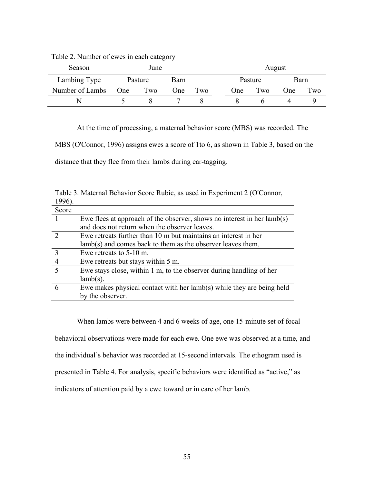| Season          | June    |     |      |     | August  |     |      |     |
|-----------------|---------|-----|------|-----|---------|-----|------|-----|
| Lambing Type    | Pasture |     | Barn |     | Pasture |     | Barn |     |
| Number of Lambs | One     | Two | One  | Two | One     | Two | One  | Two |
| N               |         |     |      |     |         |     |      |     |

Table 2. Number of ewes in each category

At the time of processing, a maternal behavior score (MBS) was recorded. The

MBS (O'Connor, 1996) assigns ewes a score of 1to 6, as shown in Table 3, based on the

distance that they flee from their lambs during ear-tagging.

| 1990).  |                                                                         |
|---------|-------------------------------------------------------------------------|
| Score   |                                                                         |
|         | Ewe flees at approach of the observer, shows no interest in her lamb(s) |
|         | and does not return when the observer leaves.                           |
|         | Ewe retreats further than 10 m but maintains an interest in her         |
|         | $lamb(s)$ and comes back to them as the observer leaves them.           |
|         | Ewe retreats to 5-10 m.                                                 |
|         | Ewe retreats but stays within 5 m.                                      |
| $\zeta$ | Ewe stays close, within 1 m, to the observer during handling of her     |
|         | $lamb(s)$ .                                                             |
|         | Ewe makes physical contact with her lamb(s) while they are being held   |
|         | by the observer.                                                        |

Table 3. Maternal Behavior Score Rubic, as used in Experiment 2 (O'Connor,  $100<sup>6</sup>$ 

When lambs were between 4 and 6 weeks of age, one 15-minute set of focal behavioral observations were made for each ewe. One ewe was observed at a time, and the individual's behavior was recorded at 15-second intervals. The ethogram used is presented in Table 4. For analysis, specific behaviors were identified as "active," as indicators of attention paid by a ewe toward or in care of her lamb.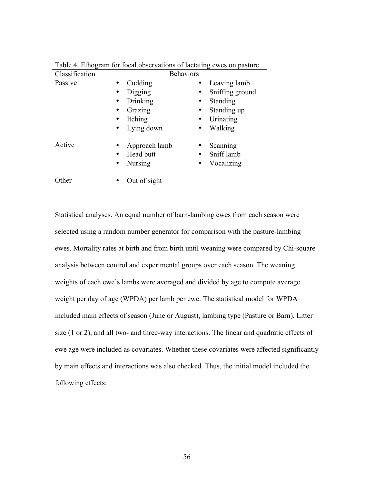| Classification     | <b>Behaviors</b> |                              |
|--------------------|------------------|------------------------------|
| Passive            | Cudding          | Leaving lamb                 |
| $\bullet$          | Digging          | Sniffing ground<br>$\bullet$ |
| $\bullet$          | Drinking         | Standing<br>$\bullet$        |
|                    | Grazing          | Standing up<br>$\bullet$     |
|                    | Itching          | Urinating<br>$\bullet$       |
|                    | Lying down       | Walking<br>$\bullet$         |
| Active             | Approach lamb    | Scanning<br>٠                |
|                    | Head butt        | Sniff lamb                   |
| $\bullet$          | <b>Nursing</b>   | Vocalizing<br>$\bullet$      |
| Other<br>$\bullet$ | Out of sight     |                              |

Table 4. Ethogram for focal observations of lactating ewes on pasture.

Statistical analyses. An equal number of barn-lambing ewes from each season were selected using a random number generator for comparison with the pasture-lambing ewes. Mortality rates at birth and from birth until weaning were compared by Chi-square analysis between control and experimental groups over each season. The weaning weights of each ewe's lambs were averaged and divided by age to compute average weight per day of age (WPDA) per lamb per ewe. The statistical model for WPDA included main effects of season (June or August), lambing type (Pasture or Barn), Litter size (1 or 2), and all two- and three-way interactions. The linear and quadratic effects of ewe age were included as covariates. Whether these covariates were affected significantly by main effects and interactions was also checked. Thus, the initial model included the following effects: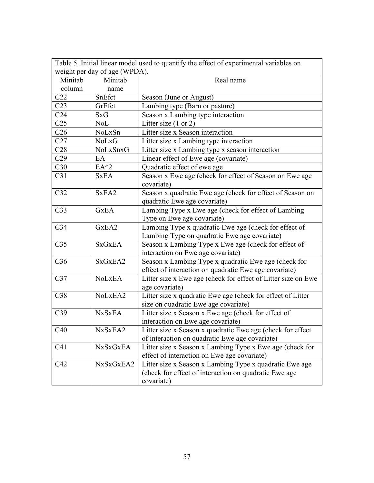| Table 5. Initial linear model used to quantify the effect of experimental variables on |                 |                                                                                     |  |  |  |
|----------------------------------------------------------------------------------------|-----------------|-------------------------------------------------------------------------------------|--|--|--|
| weight per day of age (WPDA).                                                          |                 |                                                                                     |  |  |  |
| Minitab                                                                                | Minitab         | Real name                                                                           |  |  |  |
| column                                                                                 | name            |                                                                                     |  |  |  |
| C22                                                                                    | SnEfct          | Season (June or August)                                                             |  |  |  |
| C <sub>23</sub>                                                                        | GrEfct          | Lambing type (Barn or pasture)                                                      |  |  |  |
| C <sub>24</sub>                                                                        | SxG             | Season x Lambing type interaction                                                   |  |  |  |
| C <sub>25</sub>                                                                        | <b>NoL</b>      | Litter size $(1 or 2)$                                                              |  |  |  |
| C <sub>26</sub>                                                                        | NoLxSn          | Litter size x Season interaction                                                    |  |  |  |
| C27                                                                                    | NoLxG           | Litter size x Lambing type interaction                                              |  |  |  |
| C28                                                                                    | NoLxSnxG        | Litter size x Lambing type x season interaction                                     |  |  |  |
| C29                                                                                    | EA              | Linear effect of Ewe age (covariate)                                                |  |  |  |
| C30                                                                                    | $EA^{\wedge}2$  | Quadratic effect of ewe age                                                         |  |  |  |
| C31                                                                                    | <b>SxEA</b>     | Season x Ewe age (check for effect of Season on Ewe age<br>covariate)               |  |  |  |
| C32                                                                                    | SxEA2           | Season x quadratic Ewe age (check for effect of Season on                           |  |  |  |
| C <sub>33</sub>                                                                        | <b>G</b> xEA    | quadratic Ewe age covariate)<br>Lambing Type x Ewe age (check for effect of Lambing |  |  |  |
|                                                                                        |                 | Type on Ewe age covariate)                                                          |  |  |  |
| C <sub>34</sub>                                                                        | GxEA2           | Lambing Type x quadratic Ewe age (check for effect of                               |  |  |  |
|                                                                                        |                 | Lambing Type on quadratic Ewe age covariate)                                        |  |  |  |
| C <sub>35</sub>                                                                        | <b>SxGxEA</b>   | Season x Lambing Type x Ewe age (check for effect of                                |  |  |  |
|                                                                                        |                 | interaction on Ewe age covariate)                                                   |  |  |  |
| C <sub>36</sub>                                                                        | SxGxEA2         | Season x Lambing Type x quadratic Ewe age (check for                                |  |  |  |
|                                                                                        |                 | effect of interaction on quadratic Ewe age covariate)                               |  |  |  |
| C <sub>37</sub>                                                                        | <b>NoLxEA</b>   | Litter size x Ewe age (check for effect of Litter size on Ewe                       |  |  |  |
|                                                                                        |                 | age covariate)                                                                      |  |  |  |
| C38                                                                                    | NoLxEA2         | Litter size x quadratic Ewe age (check for effect of Litter                         |  |  |  |
|                                                                                        |                 | size on quadratic Ewe age covariate)                                                |  |  |  |
| C39                                                                                    | <b>NxSxEA</b>   | Litter size x Season x Ewe age (check for effect of                                 |  |  |  |
|                                                                                        |                 | interaction on Ewe age covariate)                                                   |  |  |  |
| C40                                                                                    | NxSxEA2         | Litter size x Season x quadratic Ewe age (check for effect                          |  |  |  |
|                                                                                        |                 | of interaction on quadratic Ewe age covariate)                                      |  |  |  |
| C <sub>41</sub>                                                                        | <b>NxSxGxEA</b> | Litter size x Season x Lambing Type x Ewe age (check for                            |  |  |  |
|                                                                                        |                 | effect of interaction on Ewe age covariate)                                         |  |  |  |
| C42                                                                                    | NxSxGxEA2       | Litter size x Season x Lambing Type x quadratic Ewe age                             |  |  |  |
|                                                                                        |                 | (check for effect of interaction on quadratic Ewe age                               |  |  |  |
|                                                                                        |                 | covariate)                                                                          |  |  |  |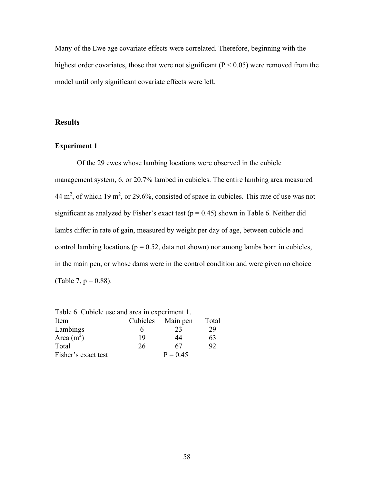Many of the Ewe age covariate effects were correlated. Therefore, beginning with the highest order covariates, those that were not significant ( $P < 0.05$ ) were removed from the model until only significant covariate effects were left.

# **Results**

## **Experiment 1**

Of the 29 ewes whose lambing locations were observed in the cubicle management system, 6, or 20.7% lambed in cubicles. The entire lambing area measured 44 m<sup>2</sup>, of which 19 m<sup>2</sup>, or 29.6%, consisted of space in cubicles. This rate of use was not significant as analyzed by Fisher's exact test ( $p = 0.45$ ) shown in Table 6. Neither did lambs differ in rate of gain, measured by weight per day of age, between cubicle and control lambing locations ( $p = 0.52$ , data not shown) nor among lambs born in cubicles, in the main pen, or whose dams were in the control condition and were given no choice (Table 7,  $p = 0.88$ ).

| Table 0. Cubicle use and area in experiment 1. |          |            |       |  |  |  |
|------------------------------------------------|----------|------------|-------|--|--|--|
| Item                                           | Cubicles | Main pen   | Total |  |  |  |
| Lambings                                       |          | 23         | 29    |  |  |  |
| Area $(m2)$                                    | 19       | 44         | 63    |  |  |  |
| Total                                          | 26       | 67         | 92    |  |  |  |
| Fisher's exact test                            |          | $P = 0.45$ |       |  |  |  |

Table 6. Cubicle use and area in experiment 1.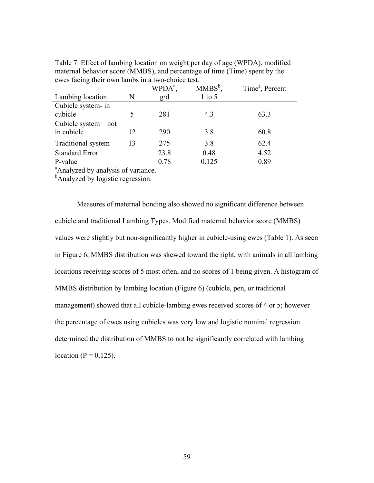| owes favily then own famos in a two enoted test. |    | $WPDA^a$ , | $MMBS^b$ , | Time <sup>a</sup> , Percent |
|--------------------------------------------------|----|------------|------------|-----------------------------|
| Lambing location                                 | N  | g/d        | $1$ to 5   |                             |
| Cubicle system- in                               |    |            |            |                             |
| cubicle                                          | 5  | 281        | 4.3        | 63.3                        |
| Cubicle system $-$ not                           |    |            |            |                             |
| in cubicle                                       | 12 | 290        | 3.8        | 60.8                        |
| Traditional system                               | 13 | 275        | 3.8        | 62.4                        |
| <b>Standard Error</b>                            |    | 23.8       | 0.48       | 4.52                        |
| P-value                                          |    | 0.78       | 0.125      | 0.89                        |

Table 7. Effect of lambing location on weight per day of age (WPDA), modified maternal behavior score (MMBS), and percentage of time (Time) spent by the ewes facing their own lambs in a two-choice test.

<sup>a</sup> Analyzed by analysis of variance.

<sup>b</sup>Analyzed by logistic regression.

Measures of maternal bonding also showed no significant difference between cubicle and traditional Lambing Types. Modified maternal behavior score (MMBS) values were slightly but non-significantly higher in cubicle-using ewes (Table 1). As seen in Figure 6, MMBS distribution was skewed toward the right, with animals in all lambing locations receiving scores of 5 most often, and no scores of 1 being given. A histogram of MMBS distribution by lambing location (Figure 6) (cubicle, pen, or traditional management) showed that all cubicle-lambing ewes received scores of 4 or 5; however the percentage of ewes using cubicles was very low and logistic nominal regression determined the distribution of MMBS to not be significantly correlated with lambing location ( $P = 0.125$ ).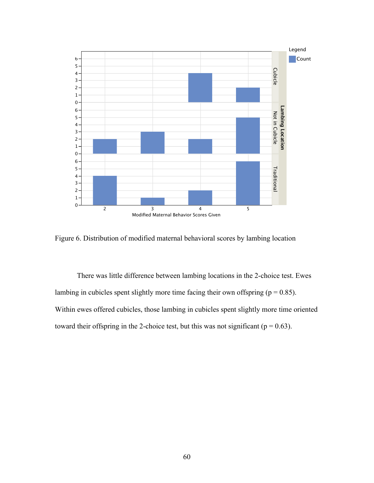

Figure 6. Distribution of modified maternal behavioral scores by lambing location

There was little difference between lambing locations in the 2-choice test. Ewes lambing in cubicles spent slightly more time facing their own offspring ( $p = 0.85$ ). Within ewes offered cubicles, those lambing in cubicles spent slightly more time oriented toward their offspring in the 2-choice test, but this was not significant ( $p = 0.63$ ).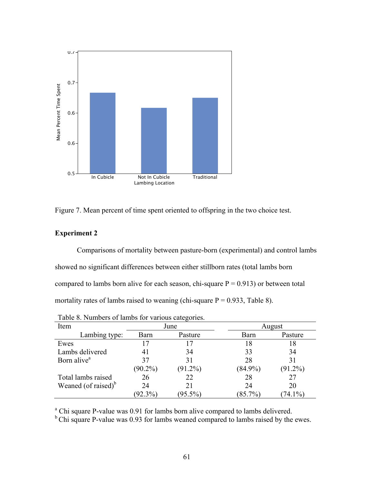



### **Experiment 2**

Comparisons of mortality between pasture-born (experimental) and control lambs showed no significant differences between either stillborn rates (total lambs born compared to lambs born alive for each season, chi-square  $P = 0.913$  or between total mortality rates of lambs raised to weaning (chi-square  $P = 0.933$ , Table 8).

|                         |            | ັ          |            |            |  |
|-------------------------|------------|------------|------------|------------|--|
| Item                    |            | June       | August     |            |  |
| Lambing type:           | Barn       | Pasture    | Barn       | Pasture    |  |
| Ewes                    |            | 17         | 18         | 18         |  |
| Lambs delivered         |            | 34         | 33         | 34         |  |
| Born alive <sup>a</sup> | 37         | 31         | 28         | 31         |  |
|                         | $(90.2\%)$ | $(91.2\%)$ | $(84.9\%)$ | $(91.2\%)$ |  |
| Total lambs raised      | 26         | 22         | 28         | 27         |  |
| Weaned (of raised) $b$  | 24         | 21         | 24         | 20         |  |
|                         | (92.3%)    | $(95.5\%)$ | (85.7%)    | $74.1\%$   |  |

|  |  |  | Table 8. Numbers of lambs for various categories. |
|--|--|--|---------------------------------------------------|
|  |  |  |                                                   |
|  |  |  |                                                   |

<sup>a</sup> Chi square P-value was 0.91 for lambs born alive compared to lambs delivered.<br><sup>b</sup> Chi square P-value was 0.93 for lambs weaned compared to lambs raised by the ewes.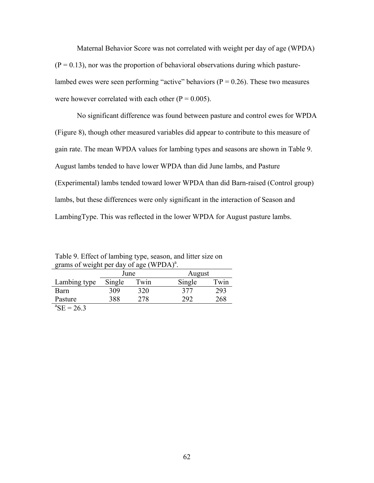Maternal Behavior Score was not correlated with weight per day of age (WPDA)  $(P = 0.13)$ , nor was the proportion of behavioral observations during which pasturelambed ewes were seen performing "active" behaviors ( $P = 0.26$ ). These two measures were however correlated with each other ( $P = 0.005$ ).

No significant difference was found between pasture and control ewes for WPDA (Figure 8), though other measured variables did appear to contribute to this measure of gain rate. The mean WPDA values for lambing types and seasons are shown in Table 9. August lambs tended to have lower WPDA than did June lambs, and Pasture (Experimental) lambs tended toward lower WPDA than did Barn-raised (Control group) lambs, but these differences were only significant in the interaction of Season and LambingType. This was reflected in the lower WPDA for August pasture lambs.

Table 9. Effect of lambing type, season, and litter size on grams of weight per day of age  $(WPDA)^a$ .

|                        | June   |      | August |      |
|------------------------|--------|------|--------|------|
| Lambing type           | Single | Twin | Single | Twin |
| Barn                   | 309    | 320  | 377    | 293  |
| Pasture                | 388    | 278  | 292    | 268  |
| ${}^{\rm a}$ SE = 26.3 |        |      |        |      |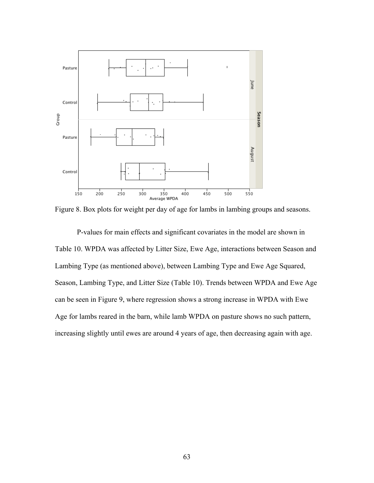

Figure 8. Box plots for weight per day of age for lambs in lambing groups and seasons.

P-values for main effects and significant covariates in the model are shown in Table 10. WPDA was affected by Litter Size, Ewe Age, interactions between Season and Lambing Type (as mentioned above), between Lambing Type and Ewe Age Squared, Season, Lambing Type, and Litter Size (Table 10). Trends between WPDA and Ewe Age can be seen in Figure 9, where regression shows a strong increase in WPDA with Ewe Age for lambs reared in the barn, while lamb WPDA on pasture shows no such pattern, increasing slightly until ewes are around 4 years of age, then decreasing again with age.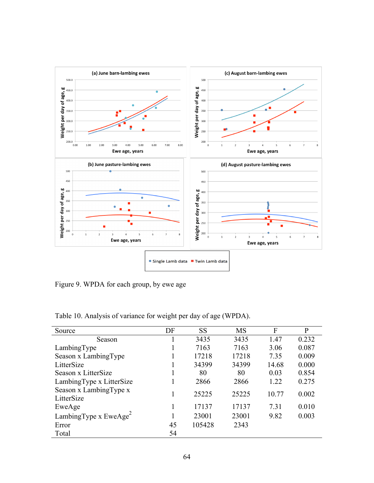

Figure 9. WPDA for each group, by ewe age

| Source                               | DF | <b>SS</b> | <b>MS</b> | F     | P     |
|--------------------------------------|----|-----------|-----------|-------|-------|
| Season                               |    | 3435      | 3435      | 1.47  | 0.232 |
| LambingType                          |    | 7163      | 7163      | 3.06  | 0.087 |
| Season x LambingType                 |    | 17218     | 17218     | 7.35  | 0.009 |
| LitterSize                           |    | 34399     | 34399     | 14.68 | 0.000 |
| Season x LitterSize                  |    | 80        | 80        | 0.03  | 0.854 |
| Lambing Type x Litter Size           |    | 2866      | 2866      | 1.22  | 0.275 |
| Season x LambingType x<br>LitterSize |    | 25225     | 25225     | 10.77 | 0.002 |
| EweAge                               |    | 17137     | 17137     | 7.31  | 0.010 |
| LambingType x EweAge <sup>2</sup>    |    | 23001     | 23001     | 9.82  | 0.003 |
| Error                                | 45 | 105428    | 2343      |       |       |
| Total                                | 54 |           |           |       |       |

Table 10. Analysis of variance for weight per day of age (WPDA).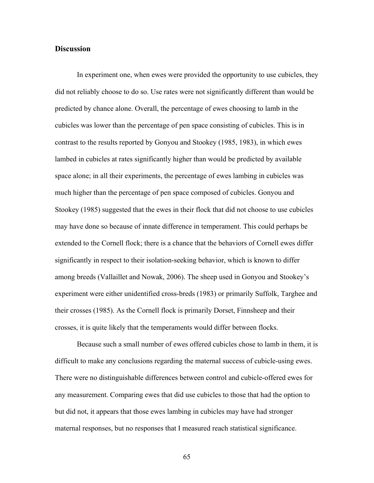## **Discussion**

In experiment one, when ewes were provided the opportunity to use cubicles, they did not reliably choose to do so. Use rates were not significantly different than would be predicted by chance alone. Overall, the percentage of ewes choosing to lamb in the cubicles was lower than the percentage of pen space consisting of cubicles. This is in contrast to the results reported by Gonyou and Stookey (1985, 1983), in which ewes lambed in cubicles at rates significantly higher than would be predicted by available space alone; in all their experiments, the percentage of ewes lambing in cubicles was much higher than the percentage of pen space composed of cubicles. Gonyou and Stookey (1985) suggested that the ewes in their flock that did not choose to use cubicles may have done so because of innate difference in temperament. This could perhaps be extended to the Cornell flock; there is a chance that the behaviors of Cornell ewes differ significantly in respect to their isolation-seeking behavior, which is known to differ among breeds (Vallaillet and Nowak, 2006). The sheep used in Gonyou and Stookey's experiment were either unidentified cross-breds (1983) or primarily Suffolk, Targhee and their crosses (1985). As the Cornell flock is primarily Dorset, Finnsheep and their crosses, it is quite likely that the temperaments would differ between flocks.

Because such a small number of ewes offered cubicles chose to lamb in them, it is difficult to make any conclusions regarding the maternal success of cubicle-using ewes. There were no distinguishable differences between control and cubicle-offered ewes for any measurement. Comparing ewes that did use cubicles to those that had the option to but did not, it appears that those ewes lambing in cubicles may have had stronger maternal responses, but no responses that I measured reach statistical significance.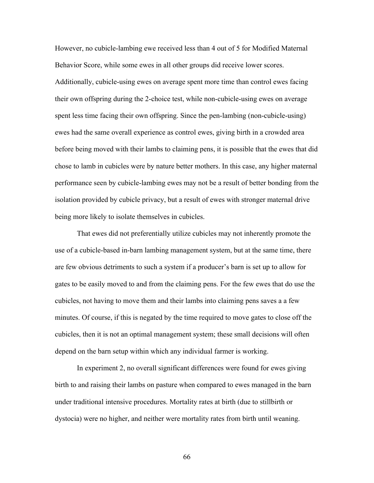However, no cubicle-lambing ewe received less than 4 out of 5 for Modified Maternal Behavior Score, while some ewes in all other groups did receive lower scores. Additionally, cubicle-using ewes on average spent more time than control ewes facing their own offspring during the 2-choice test, while non-cubicle-using ewes on average spent less time facing their own offspring. Since the pen-lambing (non-cubicle-using) ewes had the same overall experience as control ewes, giving birth in a crowded area before being moved with their lambs to claiming pens, it is possible that the ewes that did chose to lamb in cubicles were by nature better mothers. In this case, any higher maternal performance seen by cubicle-lambing ewes may not be a result of better bonding from the isolation provided by cubicle privacy, but a result of ewes with stronger maternal drive being more likely to isolate themselves in cubicles.

That ewes did not preferentially utilize cubicles may not inherently promote the use of a cubicle-based in-barn lambing management system, but at the same time, there are few obvious detriments to such a system if a producer's barn is set up to allow for gates to be easily moved to and from the claiming pens. For the few ewes that do use the cubicles, not having to move them and their lambs into claiming pens saves a a few minutes. Of course, if this is negated by the time required to move gates to close off the cubicles, then it is not an optimal management system; these small decisions will often depend on the barn setup within which any individual farmer is working.

In experiment 2, no overall significant differences were found for ewes giving birth to and raising their lambs on pasture when compared to ewes managed in the barn under traditional intensive procedures. Mortality rates at birth (due to stillbirth or dystocia) were no higher, and neither were mortality rates from birth until weaning.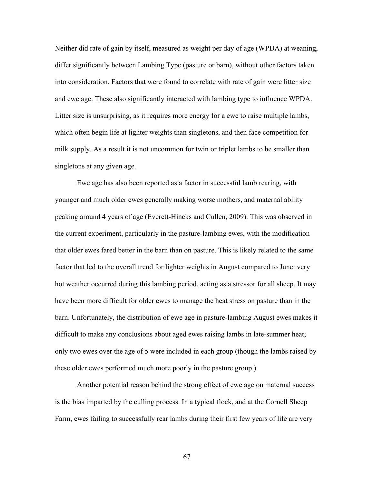Neither did rate of gain by itself, measured as weight per day of age (WPDA) at weaning, differ significantly between Lambing Type (pasture or barn), without other factors taken into consideration. Factors that were found to correlate with rate of gain were litter size and ewe age. These also significantly interacted with lambing type to influence WPDA. Litter size is unsurprising, as it requires more energy for a ewe to raise multiple lambs, which often begin life at lighter weights than singletons, and then face competition for milk supply. As a result it is not uncommon for twin or triplet lambs to be smaller than singletons at any given age.

Ewe age has also been reported as a factor in successful lamb rearing, with younger and much older ewes generally making worse mothers, and maternal ability peaking around 4 years of age (Everett-Hincks and Cullen, 2009). This was observed in the current experiment, particularly in the pasture-lambing ewes, with the modification that older ewes fared better in the barn than on pasture. This is likely related to the same factor that led to the overall trend for lighter weights in August compared to June: very hot weather occurred during this lambing period, acting as a stressor for all sheep. It may have been more difficult for older ewes to manage the heat stress on pasture than in the barn. Unfortunately, the distribution of ewe age in pasture-lambing August ewes makes it difficult to make any conclusions about aged ewes raising lambs in late-summer heat; only two ewes over the age of 5 were included in each group (though the lambs raised by these older ewes performed much more poorly in the pasture group.)

Another potential reason behind the strong effect of ewe age on maternal success is the bias imparted by the culling process. In a typical flock, and at the Cornell Sheep Farm, ewes failing to successfully rear lambs during their first few years of life are very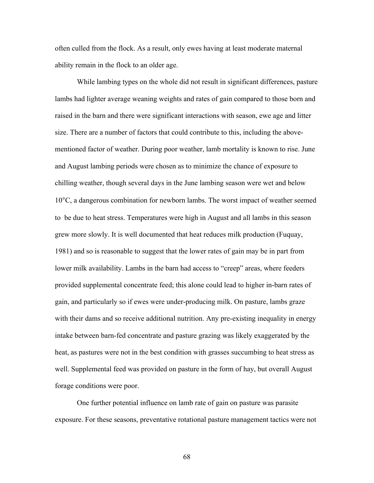often culled from the flock. As a result, only ewes having at least moderate maternal ability remain in the flock to an older age.

While lambing types on the whole did not result in significant differences, pasture lambs had lighter average weaning weights and rates of gain compared to those born and raised in the barn and there were significant interactions with season, ewe age and litter size. There are a number of factors that could contribute to this, including the abovementioned factor of weather. During poor weather, lamb mortality is known to rise. June and August lambing periods were chosen as to minimize the chance of exposure to chilling weather, though several days in the June lambing season were wet and below 10°C, a dangerous combination for newborn lambs. The worst impact of weather seemed to be due to heat stress. Temperatures were high in August and all lambs in this season grew more slowly. It is well documented that heat reduces milk production (Fuquay, 1981) and so is reasonable to suggest that the lower rates of gain may be in part from lower milk availability. Lambs in the barn had access to "creep" areas, where feeders provided supplemental concentrate feed; this alone could lead to higher in-barn rates of gain, and particularly so if ewes were under-producing milk. On pasture, lambs graze with their dams and so receive additional nutrition. Any pre-existing inequality in energy intake between barn-fed concentrate and pasture grazing was likely exaggerated by the heat, as pastures were not in the best condition with grasses succumbing to heat stress as well. Supplemental feed was provided on pasture in the form of hay, but overall August forage conditions were poor.

One further potential influence on lamb rate of gain on pasture was parasite exposure. For these seasons, preventative rotational pasture management tactics were not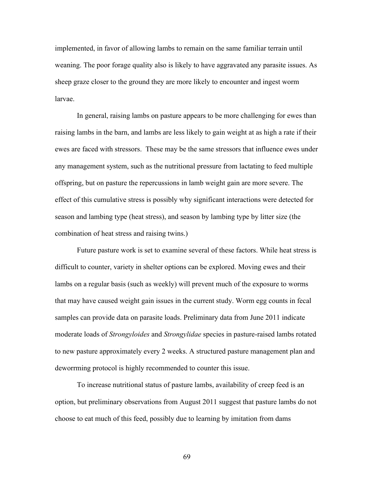implemented, in favor of allowing lambs to remain on the same familiar terrain until weaning. The poor forage quality also is likely to have aggravated any parasite issues. As sheep graze closer to the ground they are more likely to encounter and ingest worm larvae.

In general, raising lambs on pasture appears to be more challenging for ewes than raising lambs in the barn, and lambs are less likely to gain weight at as high a rate if their ewes are faced with stressors. These may be the same stressors that influence ewes under any management system, such as the nutritional pressure from lactating to feed multiple offspring, but on pasture the repercussions in lamb weight gain are more severe. The effect of this cumulative stress is possibly why significant interactions were detected for season and lambing type (heat stress), and season by lambing type by litter size (the combination of heat stress and raising twins.)

Future pasture work is set to examine several of these factors. While heat stress is difficult to counter, variety in shelter options can be explored. Moving ewes and their lambs on a regular basis (such as weekly) will prevent much of the exposure to worms that may have caused weight gain issues in the current study. Worm egg counts in fecal samples can provide data on parasite loads. Preliminary data from June 2011 indicate moderate loads of *Strongyloides* and *Strongylidae* species in pasture-raised lambs rotated to new pasture approximately every 2 weeks. A structured pasture management plan and deworrming protocol is highly recommended to counter this issue.

To increase nutritional status of pasture lambs, availability of creep feed is an option, but preliminary observations from August 2011 suggest that pasture lambs do not choose to eat much of this feed, possibly due to learning by imitation from dams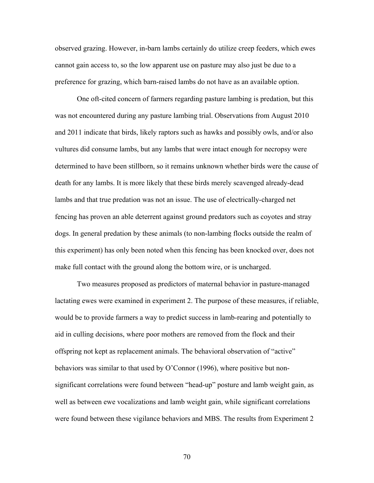observed grazing. However, in-barn lambs certainly do utilize creep feeders, which ewes cannot gain access to, so the low apparent use on pasture may also just be due to a preference for grazing, which barn-raised lambs do not have as an available option.

One oft-cited concern of farmers regarding pasture lambing is predation, but this was not encountered during any pasture lambing trial. Observations from August 2010 and 2011 indicate that birds, likely raptors such as hawks and possibly owls, and/or also vultures did consume lambs, but any lambs that were intact enough for necropsy were determined to have been stillborn, so it remains unknown whether birds were the cause of death for any lambs. It is more likely that these birds merely scavenged already-dead lambs and that true predation was not an issue. The use of electrically-charged net fencing has proven an able deterrent against ground predators such as coyotes and stray dogs. In general predation by these animals (to non-lambing flocks outside the realm of this experiment) has only been noted when this fencing has been knocked over, does not make full contact with the ground along the bottom wire, or is uncharged.

Two measures proposed as predictors of maternal behavior in pasture-managed lactating ewes were examined in experiment 2. The purpose of these measures, if reliable, would be to provide farmers a way to predict success in lamb-rearing and potentially to aid in culling decisions, where poor mothers are removed from the flock and their offspring not kept as replacement animals. The behavioral observation of "active" behaviors was similar to that used by O'Connor (1996), where positive but nonsignificant correlations were found between "head-up" posture and lamb weight gain, as well as between ewe vocalizations and lamb weight gain, while significant correlations were found between these vigilance behaviors and MBS. The results from Experiment 2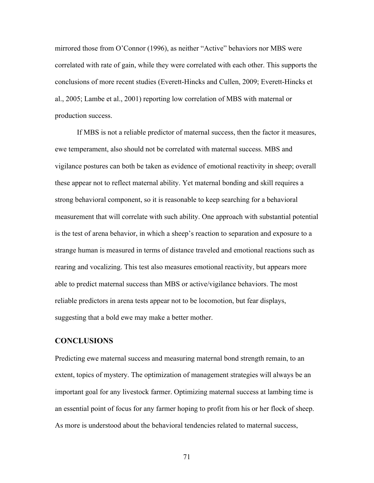mirrored those from O'Connor (1996), as neither "Active" behaviors nor MBS were correlated with rate of gain, while they were correlated with each other. This supports the conclusions of more recent studies (Everett-Hincks and Cullen, 2009; Everett-Hincks et al., 2005; Lambe et al., 2001) reporting low correlation of MBS with maternal or production success.

If MBS is not a reliable predictor of maternal success, then the factor it measures, ewe temperament, also should not be correlated with maternal success. MBS and vigilance postures can both be taken as evidence of emotional reactivity in sheep; overall these appear not to reflect maternal ability. Yet maternal bonding and skill requires a strong behavioral component, so it is reasonable to keep searching for a behavioral measurement that will correlate with such ability. One approach with substantial potential is the test of arena behavior, in which a sheep's reaction to separation and exposure to a strange human is measured in terms of distance traveled and emotional reactions such as rearing and vocalizing. This test also measures emotional reactivity, but appears more able to predict maternal success than MBS or active/vigilance behaviors. The most reliable predictors in arena tests appear not to be locomotion, but fear displays, suggesting that a bold ewe may make a better mother.

## **CONCLUSIONS**

Predicting ewe maternal success and measuring maternal bond strength remain, to an extent, topics of mystery. The optimization of management strategies will always be an important goal for any livestock farmer. Optimizing maternal success at lambing time is an essential point of focus for any farmer hoping to profit from his or her flock of sheep. As more is understood about the behavioral tendencies related to maternal success,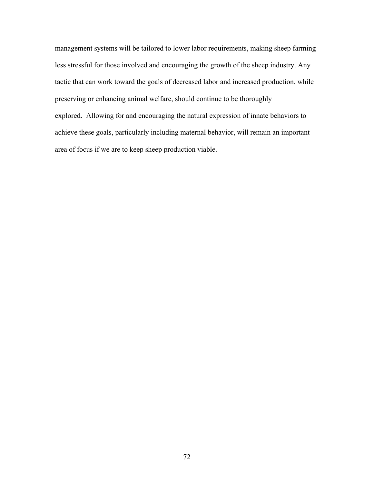management systems will be tailored to lower labor requirements, making sheep farming less stressful for those involved and encouraging the growth of the sheep industry. Any tactic that can work toward the goals of decreased labor and increased production, while preserving or enhancing animal welfare, should continue to be thoroughly explored. Allowing for and encouraging the natural expression of innate behaviors to achieve these goals, particularly including maternal behavior, will remain an important area of focus if we are to keep sheep production viable.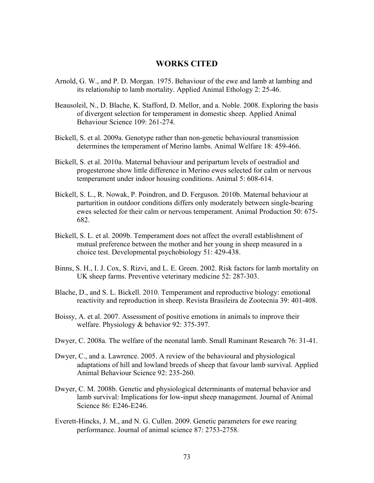## **WORKS CITED**

- Arnold, G. W., and P. D. Morgan. 1975. Behaviour of the ewe and lamb at lambing and its relationship to lamb mortality. Applied Animal Ethology 2: 25-46.
- Beausoleil, N., D. Blache, K. Stafford, D. Mellor, and a. Noble. 2008. Exploring the basis of divergent selection for temperament in domestic sheep. Applied Animal Behaviour Science 109: 261-274.
- Bickell, S. et al. 2009a. Genotype rather than non-genetic behavioural transmission determines the temperament of Merino lambs. Animal Welfare 18: 459-466.
- Bickell, S. et al. 2010a. Maternal behaviour and peripartum levels of oestradiol and progesterone show little difference in Merino ewes selected for calm or nervous temperament under indoor housing conditions. Animal 5: 608-614.
- Bickell, S. L., R. Nowak, P. Poindron, and D. Ferguson. 2010b. Maternal behaviour at parturition in outdoor conditions differs only moderately between single-bearing ewes selected for their calm or nervous temperament. Animal Production 50: 675- 682.
- Bickell, S. L. et al. 2009b. Temperament does not affect the overall establishment of mutual preference between the mother and her young in sheep measured in a choice test. Developmental psychobiology 51: 429-438.
- Binns, S. H., I. J. Cox, S. Rizvi, and L. E. Green. 2002. Risk factors for lamb mortality on UK sheep farms. Preventive veterinary medicine 52: 287-303.
- Blache, D., and S. L. Bickell. 2010. Temperament and reproductive biology: emotional reactivity and reproduction in sheep. Revista Brasileira de Zootecnia 39: 401-408.
- Boissy, A. et al. 2007. Assessment of positive emotions in animals to improve their welfare. Physiology & behavior 92: 375-397.
- Dwyer, C. 2008a. The welfare of the neonatal lamb. Small Ruminant Research 76: 31-41.
- Dwyer, C., and a. Lawrence. 2005. A review of the behavioural and physiological adaptations of hill and lowland breeds of sheep that favour lamb survival. Applied Animal Behaviour Science 92: 235-260.
- Dwyer, C. M. 2008b. Genetic and physiological determinants of maternal behavior and lamb survival: Implications for low-input sheep management. Journal of Animal Science 86: E246-E246.
- Everett-Hincks, J. M., and N. G. Cullen. 2009. Genetic parameters for ewe rearing performance. Journal of animal science 87: 2753-2758.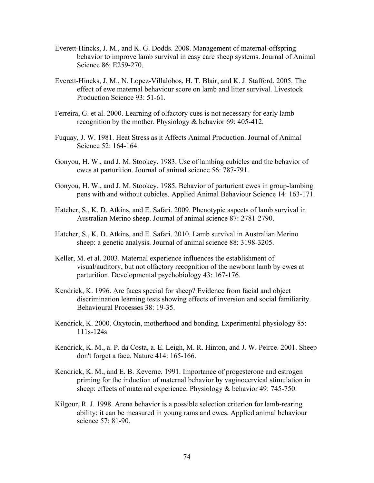- Everett-Hincks, J. M., and K. G. Dodds. 2008. Management of maternal-offspring behavior to improve lamb survival in easy care sheep systems. Journal of Animal Science 86: E259-270.
- Everett-Hincks, J. M., N. Lopez-Villalobos, H. T. Blair, and K. J. Stafford. 2005. The effect of ewe maternal behaviour score on lamb and litter survival. Livestock Production Science 93: 51-61.
- Ferreira, G. et al. 2000. Learning of olfactory cues is not necessary for early lamb recognition by the mother. Physiology & behavior 69: 405-412.
- Fuquay, J. W. 1981. Heat Stress as it Affects Animal Production. Journal of Animal Science 52: 164-164.
- Gonyou, H. W., and J. M. Stookey. 1983. Use of lambing cubicles and the behavior of ewes at parturition. Journal of animal science 56: 787-791.
- Gonyou, H. W., and J. M. Stookey. 1985. Behavior of parturient ewes in group-lambing pens with and without cubicles. Applied Animal Behaviour Science 14: 163-171.
- Hatcher, S., K. D. Atkins, and E. Safari. 2009. Phenotypic aspects of lamb survival in Australian Merino sheep. Journal of animal science 87: 2781-2790.
- Hatcher, S., K. D. Atkins, and E. Safari. 2010. Lamb survival in Australian Merino sheep: a genetic analysis. Journal of animal science 88: 3198-3205.
- Keller, M. et al. 2003. Maternal experience influences the establishment of visual/auditory, but not olfactory recognition of the newborn lamb by ewes at parturition. Developmental psychobiology 43: 167-176.
- Kendrick, K. 1996. Are faces special for sheep? Evidence from facial and object discrimination learning tests showing effects of inversion and social familiarity. Behavioural Processes 38: 19-35.
- Kendrick, K. 2000. Oxytocin, motherhood and bonding. Experimental physiology 85: 111s-124s.
- Kendrick, K. M., a. P. da Costa, a. E. Leigh, M. R. Hinton, and J. W. Peirce. 2001. Sheep don't forget a face. Nature 414: 165-166.
- Kendrick, K. M., and E. B. Keverne. 1991. Importance of progesterone and estrogen priming for the induction of maternal behavior by vaginocervical stimulation in sheep: effects of maternal experience. Physiology & behavior 49: 745-750.
- Kilgour, R. J. 1998. Arena behavior is a possible selection criterion for lamb-rearing ability; it can be measured in young rams and ewes. Applied animal behaviour science 57: 81-90.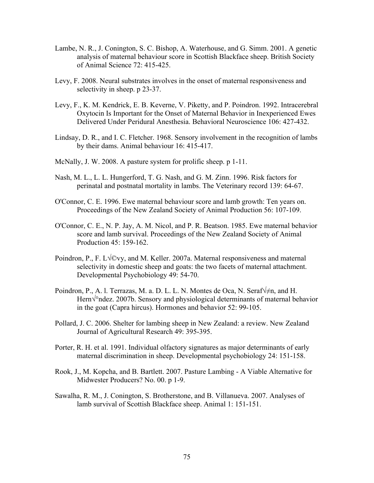- Lambe, N. R., J. Conington, S. C. Bishop, A. Waterhouse, and G. Simm. 2001. A genetic analysis of maternal behaviour score in Scottish Blackface sheep. British Society of Animal Science 72: 415-425.
- Levy, F. 2008. Neural substrates involves in the onset of maternal responsiveness and selectivity in sheep. p 23-37.
- Levy, F., K. M. Kendrick, E. B. Keverne, V. Piketty, and P. Poindron. 1992. Intracerebral Oxytocin Is Important for the Onset of Maternal Behavior in Inexperienced Ewes Delivered Under Peridural Anesthesia. Behavioral Neuroscience 106: 427-432.
- Lindsay, D. R., and I. C. Fletcher. 1968. Sensory involvement in the recognition of lambs by their dams. Animal behaviour 16: 415-417.
- McNally, J. W. 2008. A pasture system for prolific sheep. p 1-11.
- Nash, M. L., L. L. Hungerford, T. G. Nash, and G. M. Zinn. 1996. Risk factors for perinatal and postnatal mortality in lambs. The Veterinary record 139: 64-67.
- O'Connor, C. E. 1996. Ewe maternal behaviour score and lamb growth: Ten years on. Proceedings of the New Zealand Society of Animal Production 56: 107-109.
- O'Connor, C. E., N. P. Jay, A. M. Nicol, and P. R. Beatson. 1985. Ewe maternal behavior score and lamb survival. Proceedings of the New Zealand Society of Animal Production 45: 159-162.
- Poindron, P., F. L√©vy, and M. Keller. 2007a. Maternal responsiveness and maternal selectivity in domestic sheep and goats: the two facets of maternal attachment. Developmental Psychobiology 49: 54-70.
- Poindron, P., A. l. Terrazas, M. a. D. L. L. N. Montes de Oca, N. Seraf $\forall \neq n$ , and H. Hern√°ndez. 2007b. Sensory and physiological determinants of maternal behavior in the goat (Capra hircus). Hormones and behavior 52: 99-105.
- Pollard, J. C. 2006. Shelter for lambing sheep in New Zealand: a review. New Zealand Journal of Agricultural Research 49: 395-395.
- Porter, R. H. et al. 1991. Individual olfactory signatures as major determinants of early maternal discrimination in sheep. Developmental psychobiology 24: 151-158.
- Rook, J., M. Kopcha, and B. Bartlett. 2007. Pasture Lambing A Viable Alternative for Midwester Producers? No. 00. p 1-9.
- Sawalha, R. M., J. Conington, S. Brotherstone, and B. Villanueva. 2007. Analyses of lamb survival of Scottish Blackface sheep. Animal 1: 151-151.